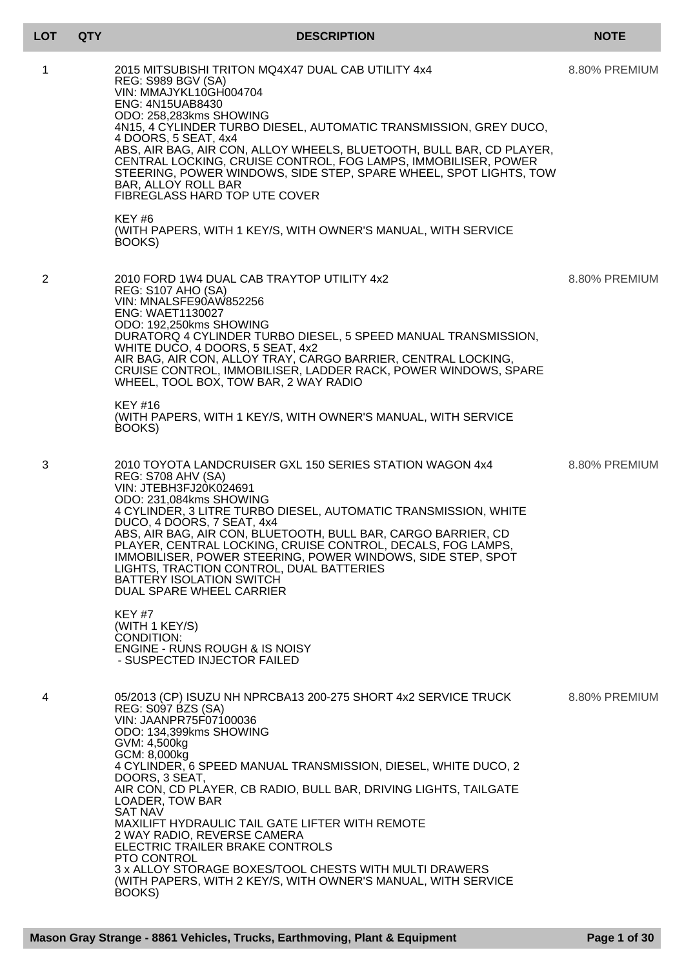|  | <b>LOT</b> | QT) |
|--|------------|-----|
|--|------------|-----|

## **LOT QTY DESCRIPTION NOTE**

| 1 | 2015 MITSUBISHI TRITON MQ4X47 DUAL CAB UTILITY 4x4<br><b>REG: S989 BGV (SA)</b><br>VIN: MMAJYKL10GH004704<br><b>ENG: 4N15UAB8430</b><br>ODO: 258,283kms SHOWING<br>4N15, 4 CYLINDER TURBO DIESEL, AUTOMATIC TRANSMISSION, GREY DUCO,<br>4 DOORS, 5 SEAT, 4x4<br>ABS, AIR BAG, AIR CON, ALLOY WHEELS, BLUETOOTH, BULL BAR, CD PLAYER,<br>CENTRAL LOCKING, CRUISE CONTROL, FOG LAMPS, IMMOBILISER, POWER<br>STEERING, POWER WINDOWS, SIDE STEP, SPARE WHEEL, SPOT LIGHTS, TOW<br><b>BAR, ALLOY ROLL BAR</b><br>FIBREGLASS HARD TOP UTE COVER<br>KEY#6<br>(WITH PAPERS, WITH 1 KEY/S, WITH OWNER'S MANUAL, WITH SERVICE<br>BOOKS)                                              | 8.80% PREMIUM |
|---|-----------------------------------------------------------------------------------------------------------------------------------------------------------------------------------------------------------------------------------------------------------------------------------------------------------------------------------------------------------------------------------------------------------------------------------------------------------------------------------------------------------------------------------------------------------------------------------------------------------------------------------------------------------------------------|---------------|
| 2 | 2010 FORD 1W4 DUAL CAB TRAYTOP UTILITY 4x2<br><b>REG: S107 AHO (SA)</b><br>VIN: MNALSFE90AW852256<br><b>ENG: WAET1130027</b><br>ODO: 192,250kms SHOWING<br>DURATORQ 4 CYLINDER TURBO DIESEL, 5 SPEED MANUAL TRANSMISSION,<br>WHITE DUCO, 4 DOORS, 5 SEAT, 4x2<br>AIR BAG, AIR CON, ALLOY TRAY, CARGO BARRIER, CENTRAL LOCKING,<br>CRUISE CONTROL, IMMOBILISER, LADDER RACK, POWER WINDOWS, SPARE<br>WHEEL, TOOL BOX, TOW BAR, 2 WAY RADIO<br><b>KEY #16</b><br>(WITH PAPERS, WITH 1 KEY/S, WITH OWNER'S MANUAL, WITH SERVICE<br>BOOKS)                                                                                                                                      | 8.80% PREMIUM |
| 3 | 2010 TOYOTA LANDCRUISER GXL 150 SERIES STATION WAGON 4x4<br>REG: S708 AHV (SA)<br>VIN: JTEBH3FJ20K024691<br>ODO: 231,084kms SHOWING<br>4 CYLINDER, 3 LITRE TURBO DIESEL, AUTOMATIC TRANSMISSION, WHITE<br>DUCO, 4 DOORS, 7 SEAT, 4x4<br>ABS, AIR BAG, AIR CON, BLUETOOTH, BULL BAR, CARGO BARRIER, CD<br>PLAYER, CENTRAL LOCKING, CRUISE CONTROL, DECALS, FOG LAMPS,<br>IMMOBILISER, POWER STEERING, POWER WINDOWS, SIDE STEP, SPOT<br>LIGHTS, TRACTION CONTROL, DUAL BATTERIES<br><b>BATTERY ISOLATION SWITCH</b><br>DUAL SPARE WHEEL CARRIER<br><b>KEY #7</b><br>(WITH 1 KEY/S)<br>CONDITION:<br><b>ENGINE - RUNS ROUGH &amp; IS NOISY</b><br>- SUSPECTED INJECTOR FAILED | 8.80% PREMIUM |
| 4 | 05/2013 (CP) ISUZU NH NPRCBA13 200-275 SHORT 4x2 SERVICE TRUCK<br>REG: S097 BZS (SA)<br>VIN: JAANPR75F07100036<br>ODO: 134,399kms SHOWING<br>GVM: 4,500kg<br>GCM: 8,000kg<br>4 CYLINDER, 6 SPEED MANUAL TRANSMISSION, DIESEL, WHITE DUCO, 2<br>DOORS, 3 SEAT,<br>AIR CON, CD PLAYER, CB RADIO, BULL BAR, DRIVING LIGHTS, TAILGATE<br>LOADER, TOW BAR<br><b>SAT NAV</b><br>MAXILIFT HYDRAULIC TAIL GATE LIFTER WITH REMOTE<br>2 WAY RADIO, REVERSE CAMERA<br>ELECTRIC TRAILER BRAKE CONTROLS<br>PTO CONTROL<br>3 x ALLOY STORAGE BOXES/TOOL CHESTS WITH MULTI DRAWERS<br>(WITH PAPERS, WITH 2 KEY/S, WITH OWNER'S MANUAL, WITH SERVICE<br>BOOKS)                             | 8.80% PREMIUM |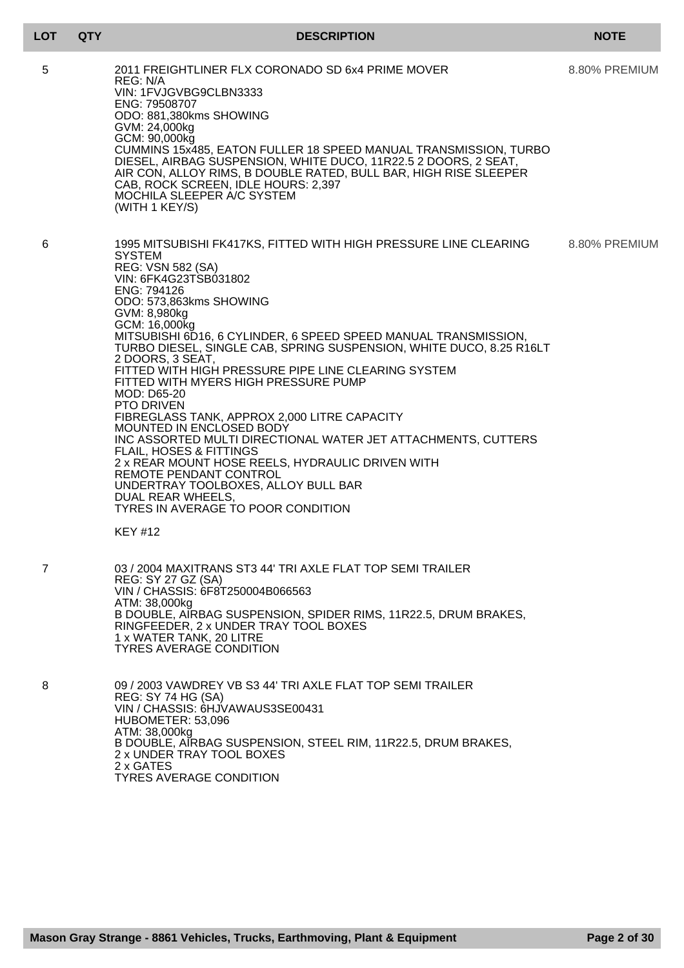## **LOT QTY DESCRIPTION NOTE**

| 5 | 2011 FREIGHTLINER FLX CORONADO SD 6x4 PRIME MOVER<br>REG: N/A<br>VIN: 1FVJGVBG9CLBN3333<br>ENG: 79508707<br>ODO: 881,380kms SHOWING<br>GVM: 24,000kg<br>GCM: 90,000kg<br>CUMMINS 15x485, EATON FULLER 18 SPEED MANUAL TRANSMISSION, TURBO<br>DIESEL, AIRBAG SUSPENSION, WHITE DUCO, 11R22.5 2 DOORS, 2 SEAT,<br>AIR CON, ALLOY RIMS, B DOUBLE RATED, BULL BAR, HIGH RISE SLEEPER<br>CAB, ROCK SCREEN, IDLE HOURS: 2,397<br>MOCHILA SLEEPER A/C SYSTEM<br>(WITH 1 KEY/S)                                                                                                                                                                                                                                                                                                                                                                                                                      | 8.80% PREMIUM |
|---|----------------------------------------------------------------------------------------------------------------------------------------------------------------------------------------------------------------------------------------------------------------------------------------------------------------------------------------------------------------------------------------------------------------------------------------------------------------------------------------------------------------------------------------------------------------------------------------------------------------------------------------------------------------------------------------------------------------------------------------------------------------------------------------------------------------------------------------------------------------------------------------------|---------------|
| 6 | 1995 MITSUBISHI FK417KS, FITTED WITH HIGH PRESSURE LINE CLEARING<br><b>SYSTEM</b><br><b>REG: VSN 582 (SA)</b><br>VIN: 6FK4G23TSB031802<br>ENG: 794126<br>ODO: 573,863kms SHOWING<br>GVM: 8,980kg<br>GCM: 16,000kg<br>MITSUBISHI 6D16, 6 CYLINDER, 6 SPEED SPEED MANUAL TRANSMISSION,<br>TURBO DIESEL, SINGLE CAB, SPRING SUSPENSION, WHITE DUCO, 8.25 R16LT<br>2 DOORS, 3 SEAT,<br>FITTED WITH HIGH PRESSURE PIPE LINE CLEARING SYSTEM<br>FITTED WITH MYERS HIGH PRESSURE PUMP<br>MOD: D65-20<br><b>PTO DRIVEN</b><br>FIBREGLASS TANK, APPROX 2,000 LITRE CAPACITY<br>MOUNTED IN ENCLOSED BODY<br>INC ASSORTED MULTI DIRECTIONAL WATER JET ATTACHMENTS, CUTTERS<br>FLAIL, HOSES & FITTINGS<br>2 x REAR MOUNT HOSE REELS, HYDRAULIC DRIVEN WITH<br>REMOTE PENDANT CONTROL<br>UNDERTRAY TOOLBOXES, ALLOY BULL BAR<br>DUAL REAR WHEELS,<br>TYRES IN AVERAGE TO POOR CONDITION<br><b>KEY #12</b> | 8.80% PREMIUM |
|   | 03 / 2004 MAXITRANS ST3 44' TRI AXLE FLAT TOP SEMI TRAILER<br>REG: SY 27 GZ (SA)<br>VIN / CHASSIS: 6F8T250004B066563<br>ATM: 38,000kg<br>B DOUBLE, AIRBAG SUSPENSION, SPIDER RIMS, 11R22.5, DRUM BRAKES,<br>RINGFEEDER, 2 x UNDER TRAY TOOL BOXES<br>1 x WATER TANK, 20 LITRE<br><b>TYRES AVERAGE CONDITION</b>                                                                                                                                                                                                                                                                                                                                                                                                                                                                                                                                                                              |               |
| 8 | 09 / 2003 VAWDREY VB S3 44' TRI AXLE FLAT TOP SEMI TRAILER<br>REG: SY 74 HG (SA)<br>VIN / CHASSIS: 6HJVAWAUS3SE00431<br>HUBOMETER: 53,096<br>ATM: 38,000kg<br>B DOUBLE, AIRBAG SUSPENSION, STEEL RIM, 11R22.5, DRUM BRAKES,<br>2 x UNDER TRAY TOOL BOXES<br>2 x GATES<br><b>TYRES AVERAGE CONDITION</b>                                                                                                                                                                                                                                                                                                                                                                                                                                                                                                                                                                                      |               |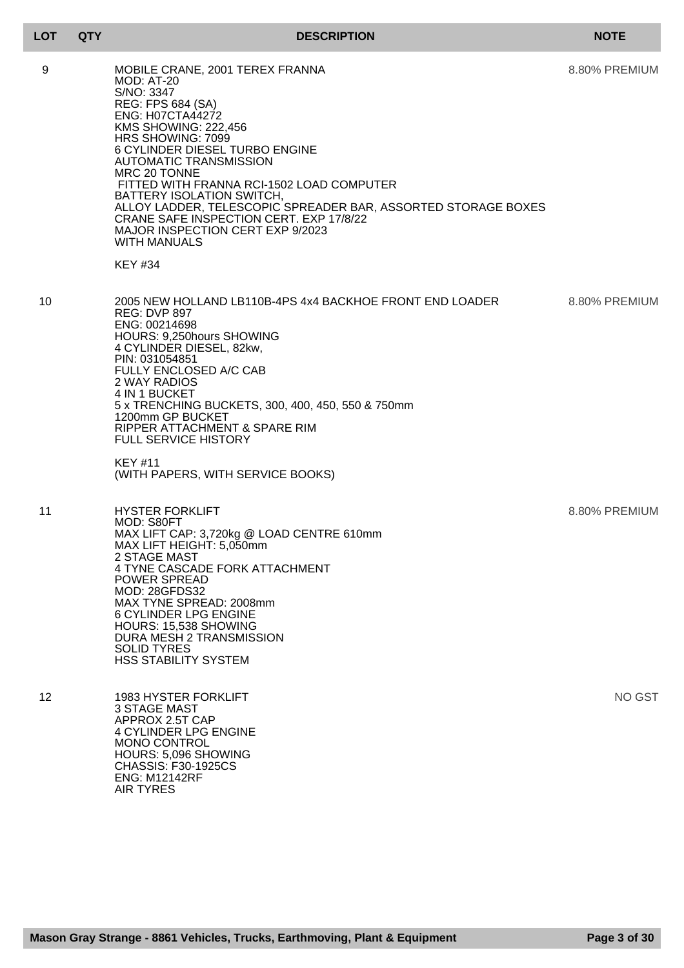| 9               | MOBILE CRANE, 2001 TEREX FRANNA<br><b>MOD: AT-20</b><br>S/NO: 3347<br><b>REG: FPS 684 (SA)</b><br><b>ENG: H07CTA44272</b><br><b>KMS SHOWING: 222,456</b><br>HRS SHOWING: 7099<br>6 CYLINDER DIESEL TURBO ENGINE<br><b>AUTOMATIC TRANSMISSION</b><br>MRC 20 TONNE<br>FITTED WITH FRANNA RCI-1502 LOAD COMPUTER<br>BATTERY ISOLATION SWITCH,<br>ALLOY LADDER, TELESCOPIC SPREADER BAR, ASSORTED STORAGE BOXES<br>CRANE SAFE INSPECTION CERT. EXP 17/8/22<br>MAJOR INSPECTION CERT EXP 9/2023<br><b>WITH MANUALS</b><br><b>KEY #34</b> | 8.80% PREMIUM |
|-----------------|-------------------------------------------------------------------------------------------------------------------------------------------------------------------------------------------------------------------------------------------------------------------------------------------------------------------------------------------------------------------------------------------------------------------------------------------------------------------------------------------------------------------------------------|---------------|
| 10              | 2005 NEW HOLLAND LB110B-4PS 4x4 BACKHOE FRONT END LOADER<br><b>REG: DVP 897</b><br>ENG: 00214698<br>HOURS: 9,250hours SHOWING<br>4 CYLINDER DIESEL, 82kw,<br>PIN: 031054851<br>FULLY ENCLOSED A/C CAB<br>2 WAY RADIOS<br>4 IN 1 BUCKET<br>5 x TRENCHING BUCKETS, 300, 400, 450, 550 & 750mm<br>1200mm GP BUCKET<br>RIPPER ATTACHMENT & SPARE RIM<br><b>FULL SERVICE HISTORY</b><br>KEY #11<br>(WITH PAPERS, WITH SERVICE BOOKS)                                                                                                     | 8.80% PREMIUM |
| 11              | <b>HYSTER FORKLIFT</b><br>MOD: S80FT<br>MAX LIFT CAP: 3,720kg @ LOAD CENTRE 610mm<br>MAX LIFT HEIGHT: 5,050mm<br>2 STAGE MAST<br>4 TYNE CASCADE FORK ATTACHMENT<br>POWER SPREAD<br><b>MOD: 28GFDS32</b><br>MAX TYNE SPREAD: 2008mm<br><b>6 CYLINDER LPG ENGINE</b><br>HOURS: 15,538 SHOWING<br>DURA MESH 2 TRANSMISSION<br><b>SOLID TYRES</b><br><b>HSS STABILITY SYSTEM</b>                                                                                                                                                        | 8.80% PREMIUM |
| 12 <sup>2</sup> | 1983 HYSTER FORKLIFT<br><b>3 STAGE MAST</b><br>APPROX 2.5T CAP<br><b>4 CYLINDER LPG ENGINE</b><br><b>MONO CONTROL</b><br>HOURS: 5,096 SHOWING<br><b>CHASSIS: F30-1925CS</b>                                                                                                                                                                                                                                                                                                                                                         | NO GST        |

ENG: M12142RF AIR TYRES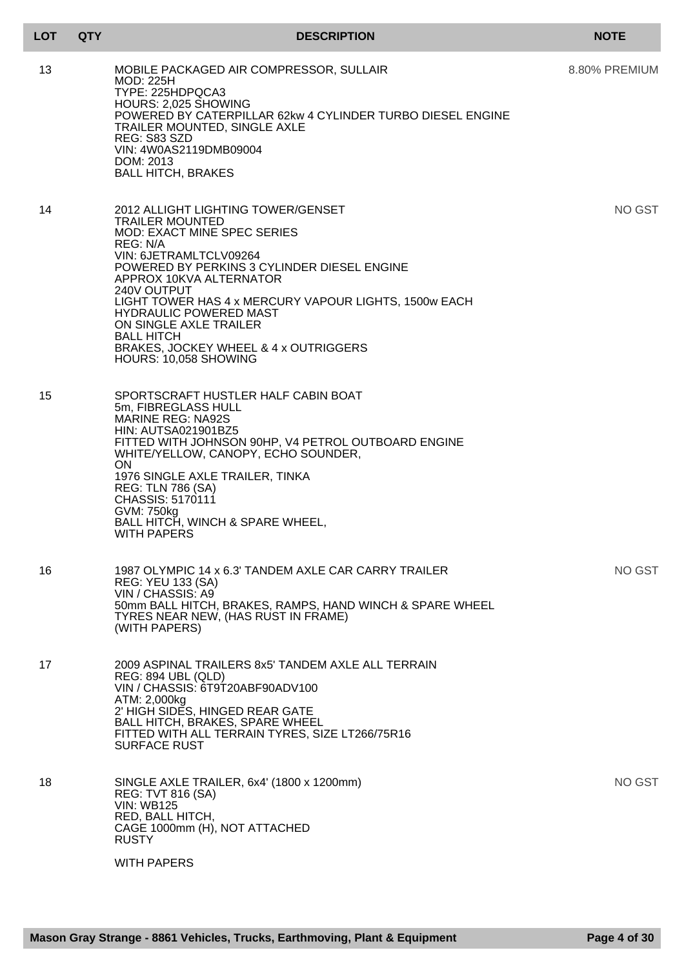| LOT | <b>QTY</b> | <b>DESCRIPTION</b>                                                                                                                                                                                                                                                                                                                                                                                                                           | <b>NOTE</b>   |
|-----|------------|----------------------------------------------------------------------------------------------------------------------------------------------------------------------------------------------------------------------------------------------------------------------------------------------------------------------------------------------------------------------------------------------------------------------------------------------|---------------|
| 13  |            | MOBILE PACKAGED AIR COMPRESSOR, SULLAIR<br><b>MOD: 225H</b><br>TYPE: 225HDPQCA3<br>HOURS: 2,025 SHOWING<br>POWERED BY CATERPILLAR 62kw 4 CYLINDER TURBO DIESEL ENGINE<br>TRAILER MOUNTED, SINGLE AXLE<br>REG: S83 SZD<br>VIN: 4W0AS2119DMB09004<br>DOM: 2013<br><b>BALL HITCH, BRAKES</b>                                                                                                                                                    | 8.80% PREMIUM |
| 14  |            | 2012 ALLIGHT LIGHTING TOWER/GENSET<br><b>TRAILER MOUNTED</b><br><b>MOD: EXACT MINE SPEC SERIES</b><br>REG: N/A<br>VIN: 6JETRAMLTCLV09264<br>POWERED BY PERKINS 3 CYLINDER DIESEL ENGINE<br>APPROX 10KVA ALTERNATOR<br>240V OUTPUT<br>LIGHT TOWER HAS 4 x MERCURY VAPOUR LIGHTS, 1500w EACH<br><b>HYDRAULIC POWERED MAST</b><br>ON SINGLE AXLE TRAILER<br><b>BALL HITCH</b><br>BRAKES, JOCKEY WHEEL & 4 x OUTRIGGERS<br>HOURS: 10,058 SHOWING | NO GST        |
| 15  |            | SPORTSCRAFT HUSTLER HALF CABIN BOAT<br>5m, FIBREGLASS HULL<br><b>MARINE REG: NA92S</b><br><b>HIN: AUTSA021901BZ5</b><br>FITTED WITH JOHNSON 90HP, V4 PETROL OUTBOARD ENGINE<br>WHITE/YELLOW, CANOPY, ECHO SOUNDER,<br><b>ON</b><br>1976 SINGLE AXLE TRAILER, TINKA<br><b>REG: TLN 786 (SA)</b><br>CHASSIS: 5170111<br>GVM: 750kg<br>BALL HITCH, WINCH & SPARE WHEEL,<br><b>WITH PAPERS</b>                                                   |               |
| 16  |            | 1987 OLYMPIC 14 x 6.3' TANDEM AXLE CAR CARRY TRAILER<br><b>REG: YEU 133 (SA)</b><br>VIN / CHASSIS: A9<br>50mm BALL HITCH, BRAKES, RAMPS, HAND WINCH & SPARE WHEEL<br>TYRES NEAR NEW, (HAS RUST IN FRAME)<br>(WITH PAPERS)                                                                                                                                                                                                                    | NO GST        |
| 17  |            | 2009 ASPINAL TRAILERS 8x5' TANDEM AXLE ALL TERRAIN<br><b>REG: 894 UBL (QLD)</b><br>VIN / CHASSIS: 6T9T20ABF90ADV100<br>ATM: 2,000kg<br>2' HIGH SIDES, HINGED REAR GATE<br>BALL HITCH, BRAKES, SPARE WHEEL<br>FITTED WITH ALL TERRAIN TYRES, SIZE LT266/75R16<br><b>SURFACE RUST</b>                                                                                                                                                          |               |
| 18  |            | SINGLE AXLE TRAILER, 6x4' (1800 x 1200mm)<br><b>REG: TVT 816 (SA)</b><br><b>VIN: WB125</b><br>RED, BALL HITCH,<br>CAGE 1000mm (H), NOT ATTACHED<br><b>RUSTY</b><br><b>WITH PAPERS</b>                                                                                                                                                                                                                                                        | NO GST        |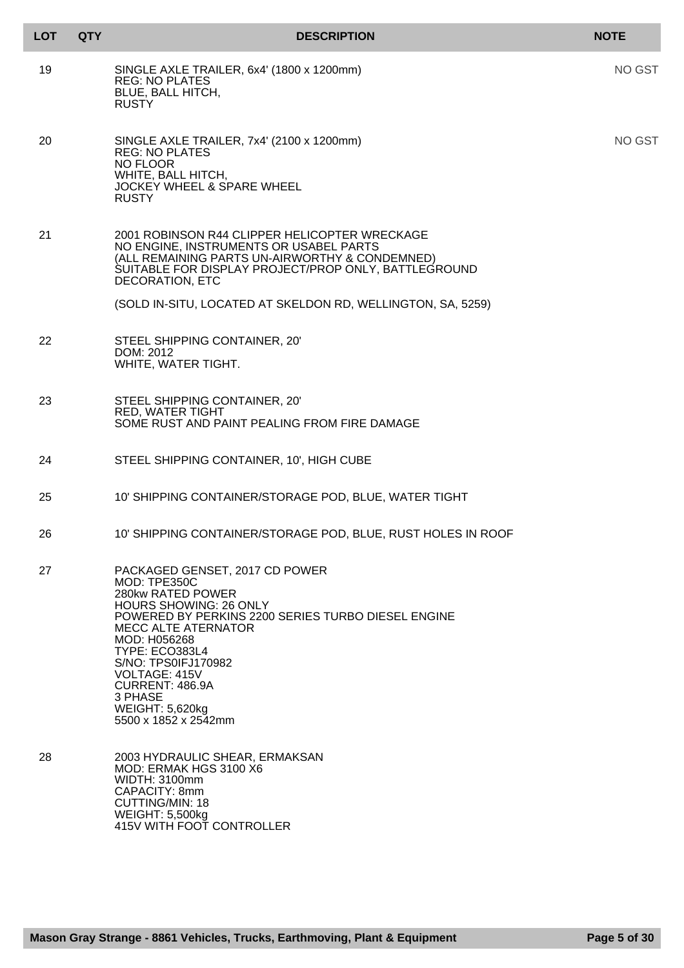| <b>LOT</b> | <b>QTY</b> | <b>DESCRIPTION</b>                                                                                                                                                                                                                                                                                                                                 | <b>NOTE</b>   |
|------------|------------|----------------------------------------------------------------------------------------------------------------------------------------------------------------------------------------------------------------------------------------------------------------------------------------------------------------------------------------------------|---------------|
| 19         |            | SINGLE AXLE TRAILER, 6x4' (1800 x 1200mm)<br><b>REG: NO PLATES</b><br>BLUE, BALL HITCH,<br><b>RUSTY</b>                                                                                                                                                                                                                                            | <b>NO GST</b> |
| 20         |            | SINGLE AXLE TRAILER, 7x4' (2100 x 1200mm)<br><b>REG: NO PLATES</b><br>NO FLOOR<br>WHITE, BALL HITCH,<br><b>JOCKEY WHEEL &amp; SPARE WHEEL</b><br><b>RUSTY</b>                                                                                                                                                                                      | NO GST        |
| 21         |            | 2001 ROBINSON R44 CLIPPER HELICOPTER WRECKAGE<br>NO ENGINE, INSTRUMENTS OR USABEL PARTS<br>(ALL REMAINING PARTS UN-AIRWORTHY & CONDEMNED)<br>SUITABLE FOR DISPLAY PROJECT/PROP ONLY, BATTLEGROUND<br><b>DECORATION, ETC</b>                                                                                                                        |               |
|            |            | (SOLD IN-SITU, LOCATED AT SKELDON RD, WELLINGTON, SA, 5259)                                                                                                                                                                                                                                                                                        |               |
| 22         |            | STEEL SHIPPING CONTAINER, 20'<br>DOM: 2012<br>WHITE, WATER TIGHT.                                                                                                                                                                                                                                                                                  |               |
| 23         |            | STEEL SHIPPING CONTAINER, 20'<br><b>RED, WATER TIGHT</b><br>SOME RUST AND PAINT PEALING FROM FIRE DAMAGE                                                                                                                                                                                                                                           |               |
| 24         |            | STEEL SHIPPING CONTAINER, 10', HIGH CUBE                                                                                                                                                                                                                                                                                                           |               |
| 25         |            | 10' SHIPPING CONTAINER/STORAGE POD, BLUE, WATER TIGHT                                                                                                                                                                                                                                                                                              |               |
| 26         |            | 10' SHIPPING CONTAINER/STORAGE POD, BLUE, RUST HOLES IN ROOF                                                                                                                                                                                                                                                                                       |               |
| 27         |            | PACKAGED GENSET, 2017 CD POWER<br>MOD: TPE350C<br>280kw RATED POWER<br><b>HOURS SHOWING: 26 ONLY</b><br>POWERED BY PERKINS 2200 SERIES TURBO DIESEL ENGINE<br><b>MECC ALTE ATERNATOR</b><br>MOD: H056268<br>TYPE: ECO383L4<br>S/NO: TPS0IFJ170982<br>VOLTAGE: 415V<br>CURRENT: 486.9A<br>3 PHASE<br><b>WEIGHT: 5,620kg</b><br>5500 x 1852 x 2542mm |               |
| 28         |            | 2003 HYDRAULIC SHEAR, ERMAKSAN<br>MOD: ERMAK HGS 3100 X6<br>WIDTH: 3100mm<br>CAPACITY: 8mm<br><b>CUTTING/MIN: 18</b><br><b>WEIGHT: 5,500kg</b><br>415V WITH FOOT CONTROLLER                                                                                                                                                                        |               |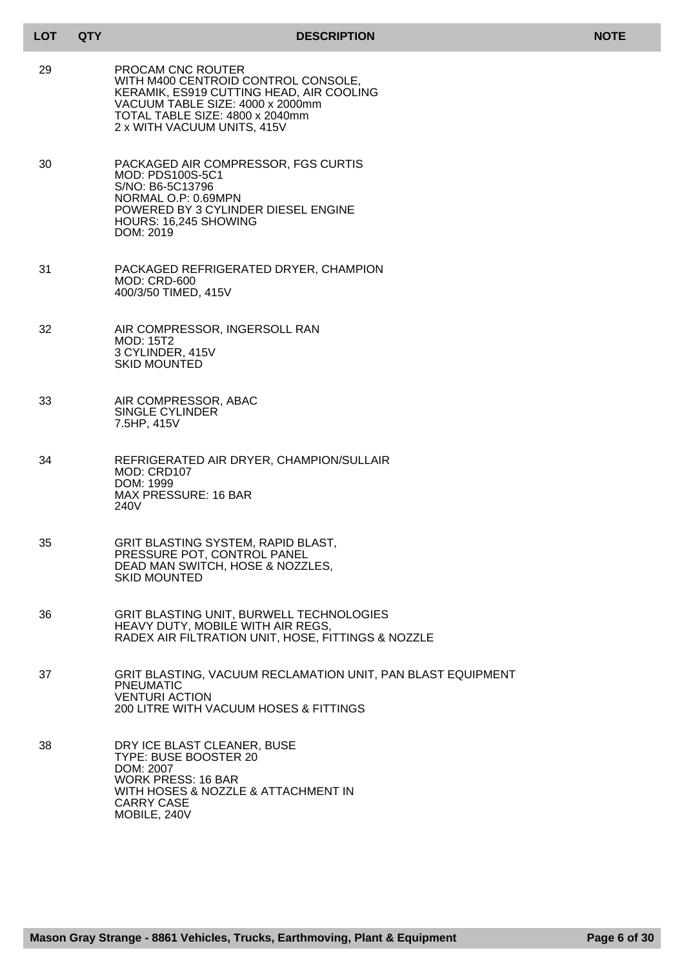| <b>LOT</b> | <b>QTY</b> | <b>DESCRIPTION</b>                                                                                                                                                                                         | <b>NOTE</b> |
|------------|------------|------------------------------------------------------------------------------------------------------------------------------------------------------------------------------------------------------------|-------------|
| 29         |            | PROCAM CNC ROUTER<br>WITH M400 CENTROID CONTROL CONSOLE,<br>KERAMIK, ES919 CUTTING HEAD, AIR COOLING<br>VACUUM TABLE SIZE: 4000 x 2000mm<br>TOTAL TABLE SIZE: 4800 x 2040mm<br>2 x WITH VACUUM UNITS, 415V |             |
| 30         |            | PACKAGED AIR COMPRESSOR, FGS CURTIS<br>MOD: PDS100S-5C1<br>S/NO: B6-5C13796<br>NORMAL O.P: 0.69MPN<br>POWERED BY 3 CYLINDER DIESEL ENGINE<br>HOURS: 16,245 SHOWING<br>DOM: 2019                            |             |
| 31         |            | PACKAGED REFRIGERATED DRYER, CHAMPION<br><b>MOD: CRD-600</b><br>400/3/50 TIMED, 415V                                                                                                                       |             |
| 32         |            | AIR COMPRESSOR, INGERSOLL RAN<br><b>MOD: 15T2</b><br>3 CYLINDER, 415V<br><b>SKID MOUNTED</b>                                                                                                               |             |
| 33         |            | AIR COMPRESSOR, ABAC<br>SINGLE CYLINDER<br>7.5HP, 415V                                                                                                                                                     |             |
| 34         |            | REFRIGERATED AIR DRYER, CHAMPION/SULLAIR<br>MOD: CRD107<br>DOM: 1999<br><b>MAX PRESSURE: 16 BAR</b><br>240V                                                                                                |             |
| 35         |            | GRIT BLASTING SYSTEM, RAPID BLAST,<br>PRESSURE POT, CONTROL PANEL<br>DEAD MAN SWITCH, HOSE & NOZZLES,<br><b>SKID MOUNTED</b>                                                                               |             |
| 36         |            | <b>GRIT BLASTING UNIT, BURWELL TECHNOLOGIES</b><br>HEAVY DUTY, MOBILE WITH AIR REGS,<br>RADEX AIR FILTRATION UNIT, HOSE, FITTINGS & NOZZLE                                                                 |             |
| 37         |            | GRIT BLASTING, VACUUM RECLAMATION UNIT, PAN BLAST EQUIPMENT<br><b>PNEUMATIC</b><br><b>VENTURI ACTION</b><br>200 LITRE WITH VACUUM HOSES & FITTINGS                                                         |             |
| 38         |            | DRY ICE BLAST CLEANER, BUSE<br>TYPE: BUSE BOOSTER 20<br>DOM: 2007<br><b>WORK PRESS: 16 BAR</b><br>WITH HOSES & NOZZLE & ATTACHMENT IN<br><b>CARRY CASE</b><br>MOBILE, 240V                                 |             |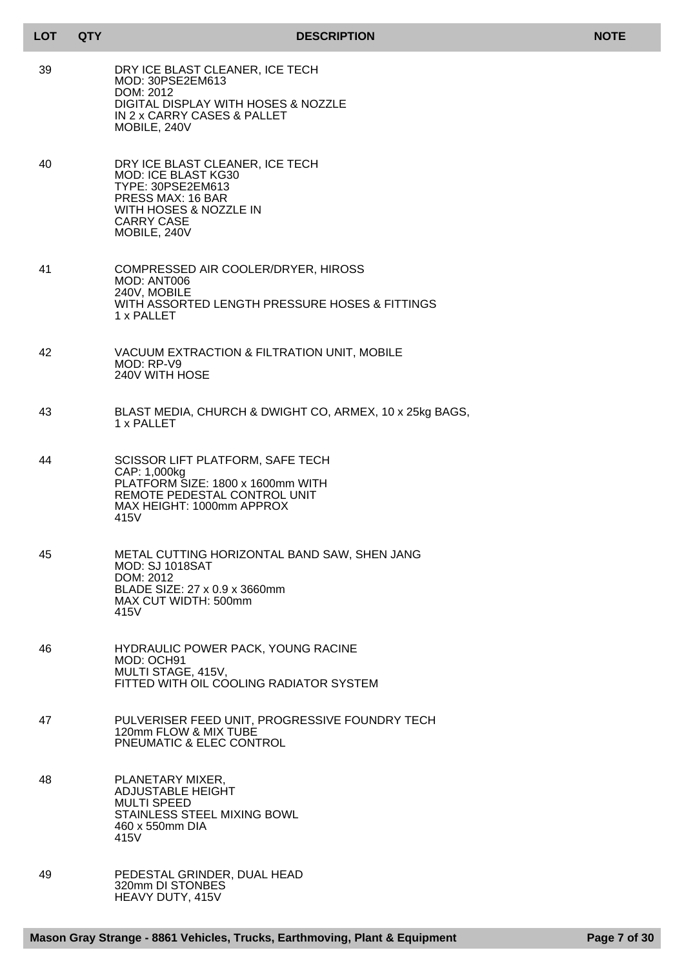| <b>LOT</b> | <b>QTY</b> | <b>DESCRIPTION</b>                                                                                                                                                     | <b>NOTE</b> |
|------------|------------|------------------------------------------------------------------------------------------------------------------------------------------------------------------------|-------------|
| 39         |            | DRY ICE BLAST CLEANER, ICE TECH<br>MOD: 30PSE2EM613<br>DOM: 2012<br>DIGITAL DISPLAY WITH HOSES & NOZZLE<br>IN 2 x CARRY CASES & PALLET<br>MOBILE, 240V                 |             |
| 40         |            | DRY ICE BLAST CLEANER, ICE TECH<br>MOD: ICE BLAST KG30<br>TYPE: 30PSE2EM613<br><b>PRESS MAX: 16 BAR</b><br>WITH HOSES & NOZZLE IN<br><b>CARRY CASE</b><br>MOBILE, 240V |             |
| 41         |            | COMPRESSED AIR COOLER/DRYER, HIROSS<br>MOD: ANT006<br>240V, MOBILE<br>WITH ASSORTED LENGTH PRESSURE HOSES & FITTINGS<br>1 x PALLET                                     |             |
| 42         |            | VACUUM EXTRACTION & FILTRATION UNIT, MOBILE<br>MOD: RP-V9<br>240V WITH HOSE                                                                                            |             |
| 43         |            | BLAST MEDIA, CHURCH & DWIGHT CO, ARMEX, 10 x 25kg BAGS,<br>1 x PALLET                                                                                                  |             |
| 44         |            | SCISSOR LIFT PLATFORM, SAFE TECH<br>CAP: 1,000kg<br>PLATFORM SIZE: 1800 x 1600mm WITH<br>REMOTE PEDESTAL CONTROL UNIT<br>MAX HEIGHT: 1000mm APPROX<br>415V             |             |
| 45         |            | METAL CUTTING HORIZONTAL BAND SAW, SHEN JANG<br><b>MOD: SJ 1018SAT</b><br>DOM: 2012<br>BLADE SIZE: 27 x 0.9 x 3660mm<br>MAX CUT WIDTH: 500mm<br>415V                   |             |
| 46         |            | HYDRAULIC POWER PACK, YOUNG RACINE<br>MOD: OCH91<br>MULTI STAGE, 415V,<br>FITTED WITH OIL COOLING RADIATOR SYSTEM                                                      |             |
| 47         |            | PULVERISER FEED UNIT, PROGRESSIVE FOUNDRY TECH<br>120mm FLOW & MIX TUBE<br>PNEUMATIC & ELEC CONTROL                                                                    |             |
| 48         |            | PLANETARY MIXER,<br><b>ADJUSTABLE HEIGHT</b><br><b>MULTI SPEED</b><br>STAINLESS STEEL MIXING BOWL<br>460 x 550mm DIA<br>415V                                           |             |
| 49         |            | PEDESTAL GRINDER, DUAL HEAD<br>320mm DI STONBES<br>HEAVY DUTY, 415V                                                                                                    |             |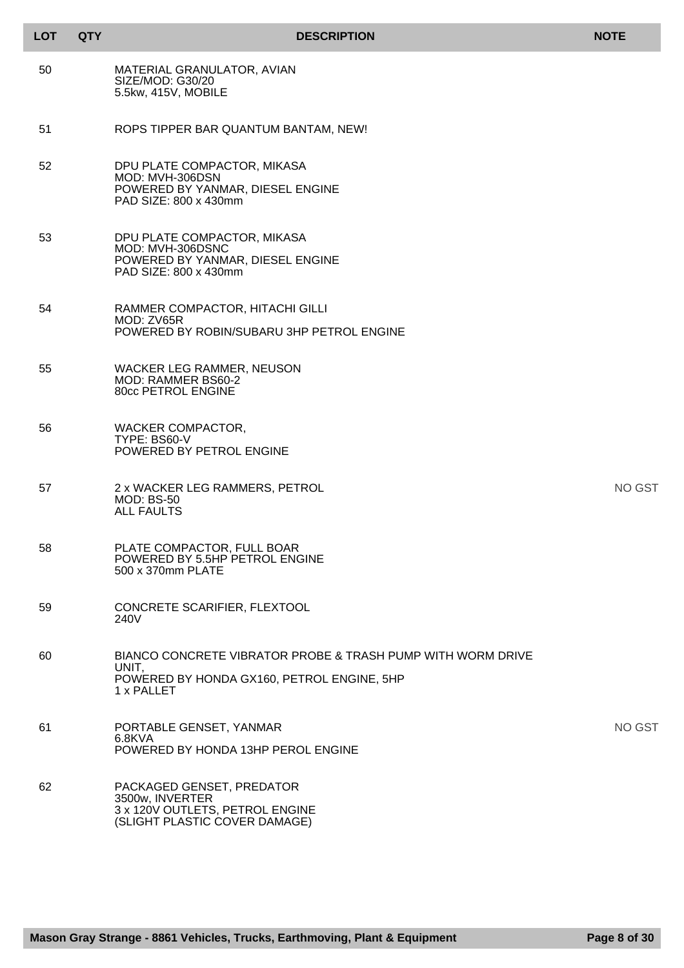| <b>LOT</b> | <b>QTY</b> | <b>DESCRIPTION</b>                                                                                                               | <b>NOTE</b> |
|------------|------------|----------------------------------------------------------------------------------------------------------------------------------|-------------|
| 50         |            | MATERIAL GRANULATOR, AVIAN<br>SIZE/MOD: G30/20<br>5.5kw, 415V, MOBILE                                                            |             |
| 51         |            | ROPS TIPPER BAR QUANTUM BANTAM, NEW!                                                                                             |             |
| 52         |            | DPU PLATE COMPACTOR, MIKASA<br>MOD: MVH-306DSN<br>POWERED BY YANMAR, DIESEL ENGINE<br>PAD SIZE: 800 x 430mm                      |             |
| 53         |            | DPU PLATE COMPACTOR, MIKASA<br>MOD: MVH-306DSNC<br>POWERED BY YANMAR, DIESEL ENGINE<br>PAD SIZE: 800 x 430mm                     |             |
| 54         |            | RAMMER COMPACTOR, HITACHI GILLI<br>MOD: ZV65R<br>POWERED BY ROBIN/SUBARU 3HP PETROL ENGINE                                       |             |
| 55         |            | WACKER LEG RAMMER, NEUSON<br>MOD: RAMMER BS60-2<br>80cc PETROL ENGINE                                                            |             |
| 56         |            | <b>WACKER COMPACTOR,</b><br>TYPE: BS60-V<br>POWERED BY PETROL ENGINE                                                             |             |
| 57         |            | 2 x WACKER LEG RAMMERS, PETROL<br><b>MOD: BS-50</b><br><b>ALL FAULTS</b>                                                         | NO GST      |
| 58         |            | PLATE COMPACTOR, FULL BOAR<br>POWERED BY 5.5HP PETROL ENGINE<br>500 x 370mm PLATE                                                |             |
| 59         |            | CONCRETE SCARIFIER, FLEXTOOL<br>240V                                                                                             |             |
| 60         |            | BIANCO CONCRETE VIBRATOR PROBE & TRASH PUMP WITH WORM DRIVE<br>UNIT.<br>POWERED BY HONDA GX160, PETROL ENGINE, 5HP<br>1 x PALLET |             |
| 61         |            | PORTABLE GENSET, YANMAR<br>6.8KVA<br>POWERED BY HONDA 13HP PEROL ENGINE                                                          | NO GST      |
| 62         |            | PACKAGED GENSET, PREDATOR<br>3500w, INVERTER<br>3 x 120V OUTLETS, PETROL ENGINE<br>(SLIGHT PLASTIC COVER DAMAGE)                 |             |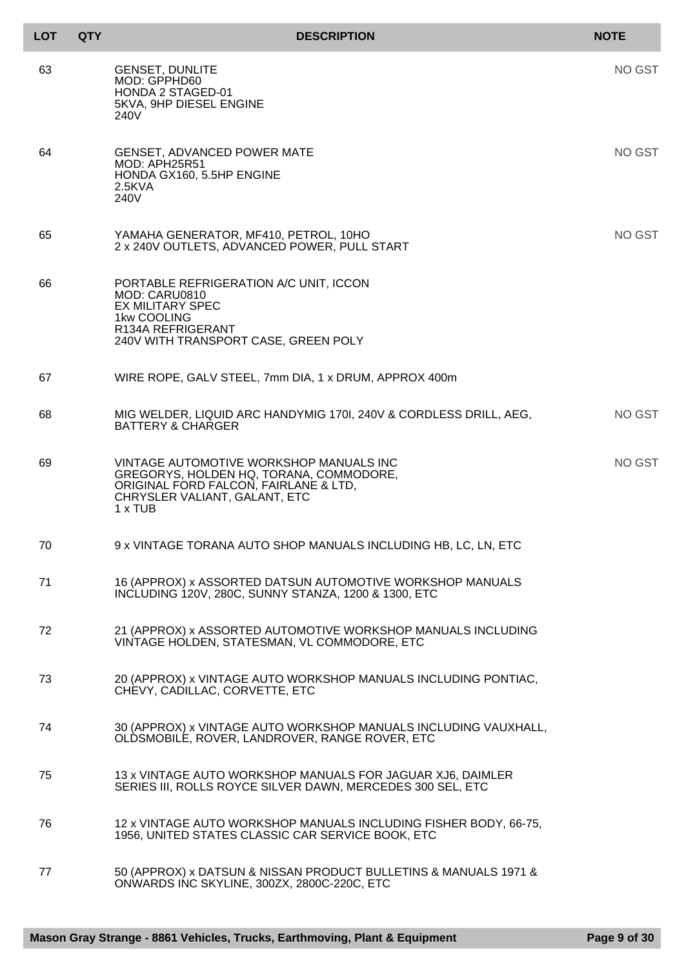| <b>LOT</b> | <b>QTY</b> | <b>DESCRIPTION</b>                                                                                                                                                      | <b>NOTE</b> |
|------------|------------|-------------------------------------------------------------------------------------------------------------------------------------------------------------------------|-------------|
| 63         |            | <b>GENSET, DUNLITE</b><br>MOD: GPPHD60<br><b>HONDA 2 STAGED-01</b><br>5KVA, 9HP DIESEL ENGINE<br>240V                                                                   | NO GST      |
| 64         |            | <b>GENSET, ADVANCED POWER MATE</b><br>MOD: APH25R51<br>HONDA GX160, 5.5HP ENGINE<br>$2.5$ KVA<br>240V                                                                   | NO GST      |
| 65         |            | YAMAHA GENERATOR, MF410, PETROL, 10HO<br>2 x 240V OUTLETS, ADVANCED POWER, PULL START                                                                                   | NO GST      |
| 66         |            | PORTABLE REFRIGERATION A/C UNIT, ICCON<br>MOD: CARU0810<br><b>EX MILITARY SPEC</b><br>1kw COOLING<br>R134A REFRIGERANT<br>240V WITH TRANSPORT CASE, GREEN POLY          |             |
| 67         |            | WIRE ROPE, GALV STEEL, 7mm DIA, 1 x DRUM, APPROX 400m                                                                                                                   |             |
| 68         |            | MIG WELDER, LIQUID ARC HANDYMIG 1701, 240V & CORDLESS DRILL, AEG,<br><b>BATTERY &amp; CHARGER</b>                                                                       | NO GST      |
| 69         |            | VINTAGE AUTOMOTIVE WORKSHOP MANUALS INC<br>GREGORYS, HOLDEN HQ, TORANA, COMMODORE,<br>ORIGINAL FORD FALCON, FAIRLANE & LTD,<br>CHRYSLER VALIANT, GALANT, ETC<br>1 x TUB | NO GST      |
| 70         |            | 9 x VINTAGE TORANA AUTO SHOP MANUALS INCLUDING HB, LC, LN, ETC                                                                                                          |             |
| 71         |            | 16 (APPROX) x ASSORTED DATSUN AUTOMOTIVE WORKSHOP MANUALS<br>INCLUDING 120V, 280C, SUNNY STANZA, 1200 & 1300, ETC                                                       |             |
| 72         |            | 21 (APPROX) x ASSORTED AUTOMOTIVE WORKSHOP MANUALS INCLUDING<br>VINTAGE HOLDEN, STATESMAN, VL COMMODORE, ETC                                                            |             |
| 73         |            | 20 (APPROX) x VINTAGE AUTO WORKSHOP MANUALS INCLUDING PONTIAC,<br>CHEVY, CADILLAC, CORVETTE, ETC                                                                        |             |
| 74         |            | 30 (APPROX) x VINTAGE AUTO WORKSHOP MANUALS INCLUDING VAUXHALL,<br>OLDSMOBILE, ROVER, LANDROVER, RANGE ROVER, ETC                                                       |             |
| 75         |            | 13 x VINTAGE AUTO WORKSHOP MANUALS FOR JAGUAR XJ6, DAIMLER<br>SERIES III, ROLLS ROYCE SILVER DAWN, MERCEDES 300 SEL, ETC                                                |             |
| 76         |            | 12 x VINTAGE AUTO WORKSHOP MANUALS INCLUDING FISHER BODY, 66-75,<br>1956, UNITED STATES CLASSIC CAR SERVICE BOOK, ETC                                                   |             |
| 77         |            | 50 (APPROX) x DATSUN & NISSAN PRODUCT BULLETINS & MANUALS 1971 &<br>ONWARDS INC SKYLINE, 300ZX, 2800C-220C, ETC                                                         |             |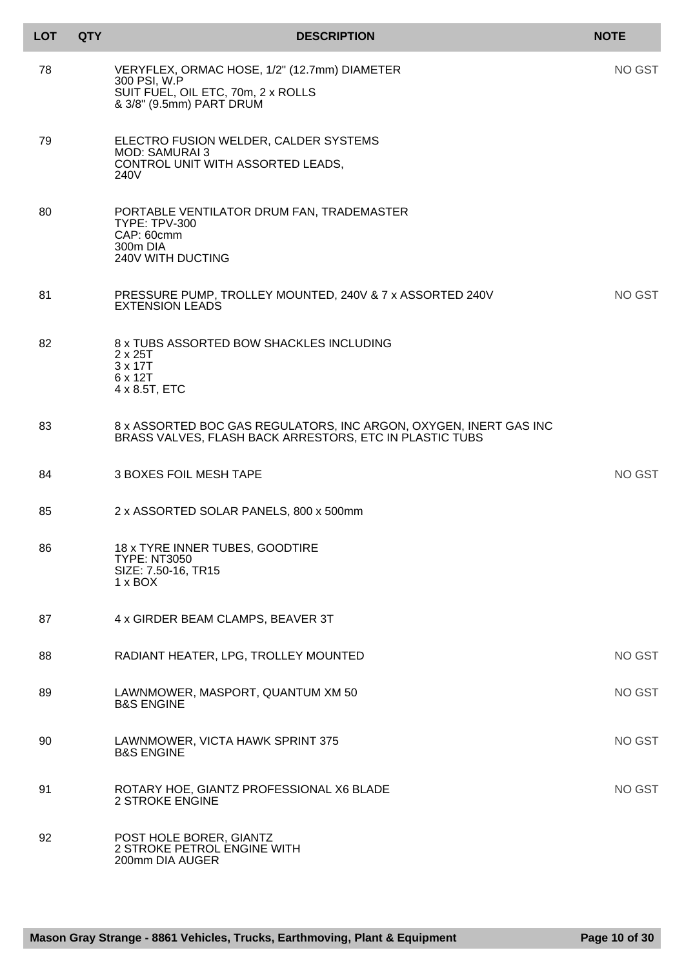| <b>LOT</b> | <b>QTY</b> | <b>DESCRIPTION</b>                                                                                                             | <b>NOTE</b> |
|------------|------------|--------------------------------------------------------------------------------------------------------------------------------|-------------|
| 78         |            | VERYFLEX, ORMAC HOSE, 1/2" (12.7mm) DIAMETER<br>300 PSI, W.P<br>SUIT FUEL, OIL ETC, 70m, 2 x ROLLS<br>& 3/8" (9.5mm) PART DRUM | NO GST      |
| 79         |            | ELECTRO FUSION WELDER, CALDER SYSTEMS<br><b>MOD: SAMURAI 3</b><br>CONTROL UNIT WITH ASSORTED LEADS,<br>240V                    |             |
| 80         |            | PORTABLE VENTILATOR DRUM FAN, TRADEMASTER<br><b>TYPE: TPV-300</b><br>CAP: 60cmm<br>300m DIA<br>240V WITH DUCTING               |             |
| 81         |            | PRESSURE PUMP, TROLLEY MOUNTED, 240V & 7 x ASSORTED 240V<br><b>EXTENSION LEADS</b>                                             | NO GST      |
| 82         |            | 8 x TUBS ASSORTED BOW SHACKLES INCLUDING<br>$2 \times 25T$<br>3 x 17T<br>6 x 12T<br>4 x 8.5T, ETC                              |             |
| 83         |            | 8 x ASSORTED BOC GAS REGULATORS, INC ARGON, OXYGEN, INERT GAS INC<br>BRASS VALVES, FLASH BACK ARRESTORS, ETC IN PLASTIC TUBS   |             |
| 84         |            | <b>3 BOXES FOIL MESH TAPE</b>                                                                                                  | NO GST      |
| 85         |            | 2 x ASSORTED SOLAR PANELS, 800 x 500mm                                                                                         |             |
| 86         |            | 18 x TYRE INNER TUBES, GOODTIRE<br><b>TYPE: NT3050</b><br>SIZE: 7.50-16, TR15<br>$1 \times$ BOX                                |             |
| 87         |            | 4 x GIRDER BEAM CLAMPS, BEAVER 3T                                                                                              |             |
| 88         |            | RADIANT HEATER, LPG, TROLLEY MOUNTED                                                                                           | NO GST      |
| 89         |            | LAWNMOWER, MASPORT, QUANTUM XM 50<br><b>B&amp;S ENGINE</b>                                                                     | NO GST      |
| 90         |            | LAWNMOWER, VICTA HAWK SPRINT 375<br><b>B&amp;S ENGINE</b>                                                                      | NO GST      |
| 91         |            | ROTARY HOE, GIANTZ PROFESSIONAL X6 BLADE<br><b>2 STROKE ENGINE</b>                                                             | NO GST      |
| 92         |            | POST HOLE BORER, GIANTZ<br>2 STROKE PETROL ENGINE WITH<br>200mm DIA AUGER                                                      |             |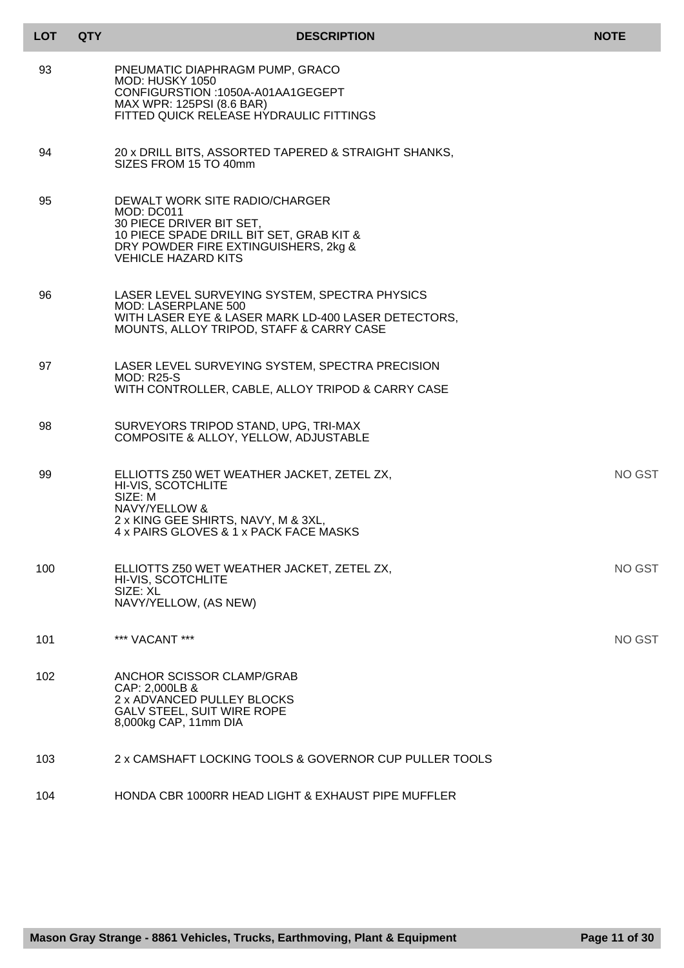| <b>LOT</b> | <b>QTY</b> | <b>DESCRIPTION</b>                                                                                                                                                                         | <b>NOTE</b> |
|------------|------------|--------------------------------------------------------------------------------------------------------------------------------------------------------------------------------------------|-------------|
| 93         |            | PNEUMATIC DIAPHRAGM PUMP, GRACO<br><b>MOD: HUSKY 1050</b><br>CONFIGURSTION: 1050A-A01AA1GEGEPT<br>MAX WPR: 125PSI (8.6 BAR)<br>FITTED QUICK RELEASE HYDRAULIC FITTINGS                     |             |
| 94         |            | 20 x DRILL BITS, ASSORTED TAPERED & STRAIGHT SHANKS,<br>SIZES FROM 15 TO 40mm                                                                                                              |             |
| 95         |            | DEWALT WORK SITE RADIO/CHARGER<br>MOD: DC011<br>30 PIECE DRIVER BIT SET,<br>10 PIECE SPADE DRILL BIT SET, GRAB KIT &<br>DRY POWDER FIRE EXTINGUISHERS, 2kg &<br><b>VEHICLE HAZARD KITS</b> |             |
| 96         |            | LASER LEVEL SURVEYING SYSTEM, SPECTRA PHYSICS<br><b>MOD: LASERPLANE 500</b><br>WITH LASER EYE & LASER MARK LD-400 LASER DETECTORS,<br>MOUNTS, ALLOY TRIPOD, STAFF & CARRY CASE             |             |
| 97         |            | LASER LEVEL SURVEYING SYSTEM, SPECTRA PRECISION<br><b>MOD: R25-S</b><br>WITH CONTROLLER, CABLE, ALLOY TRIPOD & CARRY CASE                                                                  |             |
| 98         |            | SURVEYORS TRIPOD STAND, UPG, TRI-MAX<br>COMPOSITE & ALLOY, YELLOW, ADJUSTABLE                                                                                                              |             |
| 99         |            | ELLIOTTS Z50 WET WEATHER JACKET, ZETEL ZX,<br>HI-VIS, SCOTCHLITE<br>SIZE: M<br>NAVY/YELLOW &<br>2 x KING GEE SHIRTS, NAVY, M & 3XL,<br>4 x PAIRS GLOVES & 1 x PACK FACE MASKS              | NO GST      |
| 100        |            | ELLIOTTS Z50 WET WEATHER JACKET, ZETEL ZX,<br>HI-VIS, SCOTCHLITE<br>SIZE: XL<br>NAVY/YELLOW, (AS NEW)                                                                                      | NO GST      |
| 101        |            | *** VACANT ***                                                                                                                                                                             | NO GST      |
| 102        |            | ANCHOR SCISSOR CLAMP/GRAB<br>CAP: 2,000LB &<br>2 x ADVANCED PULLEY BLOCKS<br><b>GALV STEEL, SUIT WIRE ROPE</b><br>8,000kg CAP, 11mm DIA                                                    |             |
| 103        |            | 2 x CAMSHAFT LOCKING TOOLS & GOVERNOR CUP PULLER TOOLS                                                                                                                                     |             |
| 104        |            | HONDA CBR 1000RR HEAD LIGHT & EXHAUST PIPE MUFFLER                                                                                                                                         |             |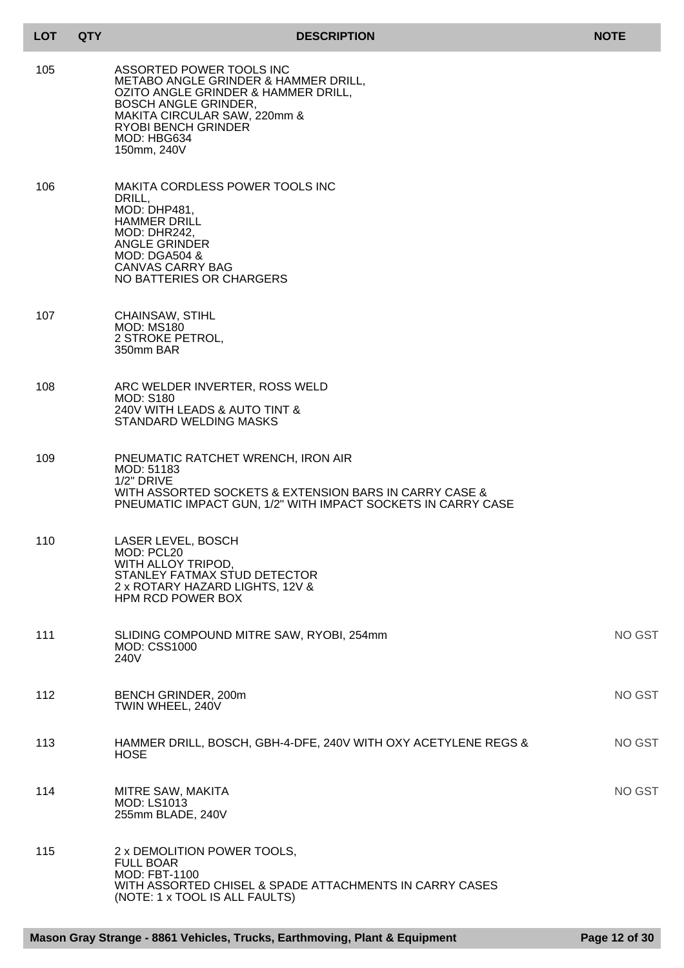| LOT | <b>QTY</b> | <b>DESCRIPTION</b>                                                                                                                                                                                                                 | <b>NOTE</b>   |
|-----|------------|------------------------------------------------------------------------------------------------------------------------------------------------------------------------------------------------------------------------------------|---------------|
| 105 |            | ASSORTED POWER TOOLS INC<br>METABO ANGLE GRINDER & HAMMER DRILL,<br>OZITO ANGLE GRINDER & HAMMER DRILL,<br><b>BOSCH ANGLE GRINDER,</b><br>MAKITA CIRCULAR SAW, 220mm &<br><b>RYOBI BENCH GRINDER</b><br>MOD: HBG634<br>150mm, 240V |               |
| 106 |            | <b>MAKITA CORDLESS POWER TOOLS INC</b><br>DRILL,<br><b>MOD: DHP481,</b><br><b>HAMMER DRILL</b><br>MOD: DHR242,<br><b>ANGLE GRINDER</b><br><b>MOD: DGA504 &amp;</b><br><b>CANVAS CARRY BAG</b><br>NO BATTERIES OR CHARGERS          |               |
| 107 |            | CHAINSAW, STIHL<br><b>MOD: MS180</b><br>2 STROKE PETROL,<br>350mm BAR                                                                                                                                                              |               |
| 108 |            | ARC WELDER INVERTER, ROSS WELD<br><b>MOD: S180</b><br>240V WITH LEADS & AUTO TINT &<br><b>STANDARD WELDING MASKS</b>                                                                                                               |               |
| 109 |            | PNEUMATIC RATCHET WRENCH, IRON AIR<br>MOD: 51183<br>1/2" DRIVE<br>WITH ASSORTED SOCKETS & EXTENSION BARS IN CARRY CASE &<br>PNEUMATIC IMPACT GUN, 1/2" WITH IMPACT SOCKETS IN CARRY CASE                                           |               |
| 110 |            | <b>LASER LEVEL, BOSCH</b><br>MOD: PCL20<br>WITH ALLOY TRIPOD,<br>STANLEY FATMAX STUD DETECTOR<br>2 x ROTARY HAZARD LIGHTS, 12V &<br>HPM RCD POWER BOX                                                                              |               |
| 111 |            | SLIDING COMPOUND MITRE SAW, RYOBI, 254mm<br><b>MOD: CSS1000</b><br>240V                                                                                                                                                            | <b>NO GST</b> |
| 112 |            | BENCH GRINDER, 200m<br>TWIN WHEEL, 240V                                                                                                                                                                                            | <b>NO GST</b> |
| 113 |            | HAMMER DRILL, BOSCH, GBH-4-DFE, 240V WITH OXY ACETYLENE REGS &<br><b>HOSE</b>                                                                                                                                                      | <b>NO GST</b> |
| 114 |            | MITRE SAW, MAKITA<br><b>MOD: LS1013</b><br>255mm BLADE, 240V                                                                                                                                                                       | <b>NO GST</b> |

115 2 x DEMOLITION POWER TOOLS, FULL BOAR MOD: FBT-1100 WITH ASSORTED CHISEL & SPADE ATTACHMENTS IN CARRY CASES (NOTE: 1 x TOOL IS ALL FAULTS)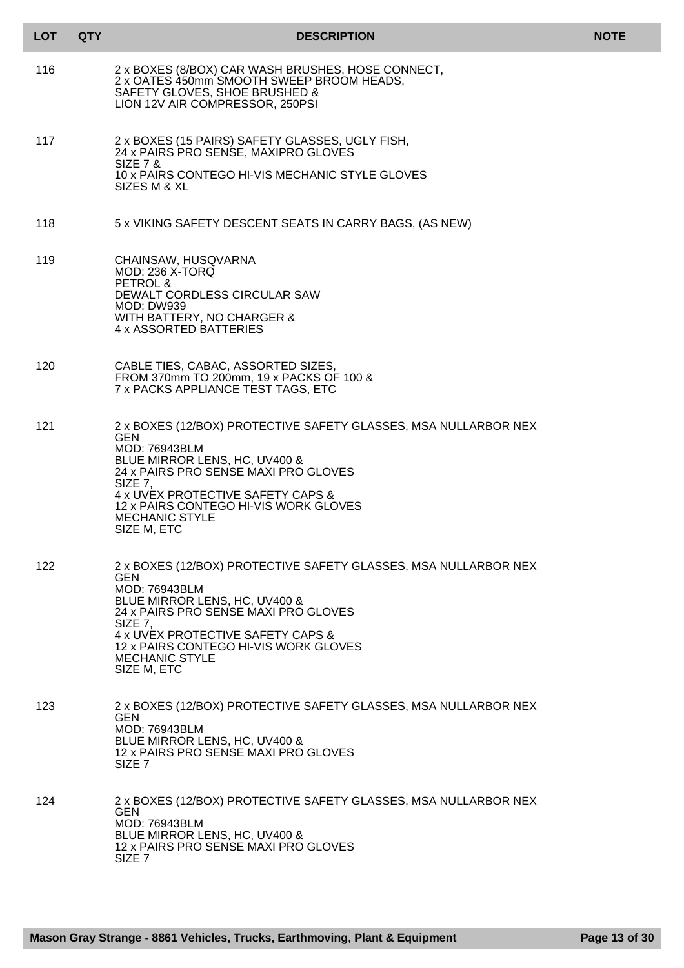| <b>LOT</b> | <b>QTY</b> | <b>DESCRIPTION</b>                                                                                                                                                                                                                                                                                       | <b>NOTE</b> |
|------------|------------|----------------------------------------------------------------------------------------------------------------------------------------------------------------------------------------------------------------------------------------------------------------------------------------------------------|-------------|
| 116        |            | 2 x BOXES (8/BOX) CAR WASH BRUSHES, HOSE CONNECT,<br>2 x OATES 450mm SMOOTH SWEEP BROOM HEADS,<br>SAFETY GLOVES, SHOE BRUSHED &<br>LION 12V AIR COMPRESSOR, 250PSI                                                                                                                                       |             |
| 117        |            | 2 x BOXES (15 PAIRS) SAFETY GLASSES, UGLY FISH,<br>24 x PAIRS PRO SENSE, MAXIPRO GLOVES<br><b>SIZE 7 &amp;</b><br>10 x PAIRS CONTEGO HI-VIS MECHANIC STYLE GLOVES<br>SIZES M & XL                                                                                                                        |             |
| 118        |            | 5 x VIKING SAFETY DESCENT SEATS IN CARRY BAGS, (AS NEW)                                                                                                                                                                                                                                                  |             |
| 119        |            | CHAINSAW, HUSQVARNA<br><b>MOD: 236 X-TORQ</b><br>PETROL &<br>DEWALT CORDLESS CIRCULAR SAW<br><b>MOD: DW939</b><br>WITH BATTERY, NO CHARGER &<br>4 x ASSORTED BATTERIES                                                                                                                                   |             |
| 120        |            | CABLE TIES, CABAC, ASSORTED SIZES,<br>FROM 370mm TO 200mm, 19 x PACKS OF 100 &<br>7 x PACKS APPLIANCE TEST TAGS, ETC                                                                                                                                                                                     |             |
| 121        |            | 2 x BOXES (12/BOX) PROTECTIVE SAFETY GLASSES, MSA NULLARBOR NEX<br><b>GEN</b><br><b>MOD: 76943BLM</b><br>BLUE MIRROR LENS, HC, UV400 &<br>24 x PAIRS PRO SENSE MAXI PRO GLOVES<br>SIZE 7.<br>4 x UVEX PROTECTIVE SAFETY CAPS &<br>12 x PAIRS CONTEGO HI-VIS WORK GLOVES<br>MECHANIC STYLE<br>SIZE M, ETC |             |
| 122        |            | 2 x BOXES (12/BOX) PROTECTIVE SAFETY GLASSES, MSA NULLARBOR NEX<br>GEN<br>MOD: 76943BLM<br>BLUE MIRROR LENS, HC, UV400 &<br>24 x PAIRS PRO SENSE MAXI PRO GLOVES<br>SIZE 7,<br>4 x UVEX PROTECTIVE SAFETY CAPS &<br>12 x PAIRS CONTEGO HI-VIS WORK GLOVES<br><b>MECHANIC STYLE</b><br>SIZE M, ETC        |             |
| 123.       |            | 2 x BOXES (12/BOX) PROTECTIVE SAFETY GLASSES, MSA NULLARBOR NEX<br><b>GEN</b><br>MOD: 76943BLM<br>BLUE MIRROR LENS, HC, UV400 &<br>12 x PAIRS PRO SENSE MAXI PRO GLOVES<br>SIZE <sub>7</sub>                                                                                                             |             |
| 124        |            | 2 x BOXES (12/BOX) PROTECTIVE SAFETY GLASSES, MSA NULLARBOR NEX<br><b>GEN</b><br><b>MOD: 76943BLM</b><br>BLUE MIRROR LENS, HC, UV400 &<br>12 x PAIRS PRO SENSE MAXI PRO GLOVES<br>SIZE <sub>7</sub>                                                                                                      |             |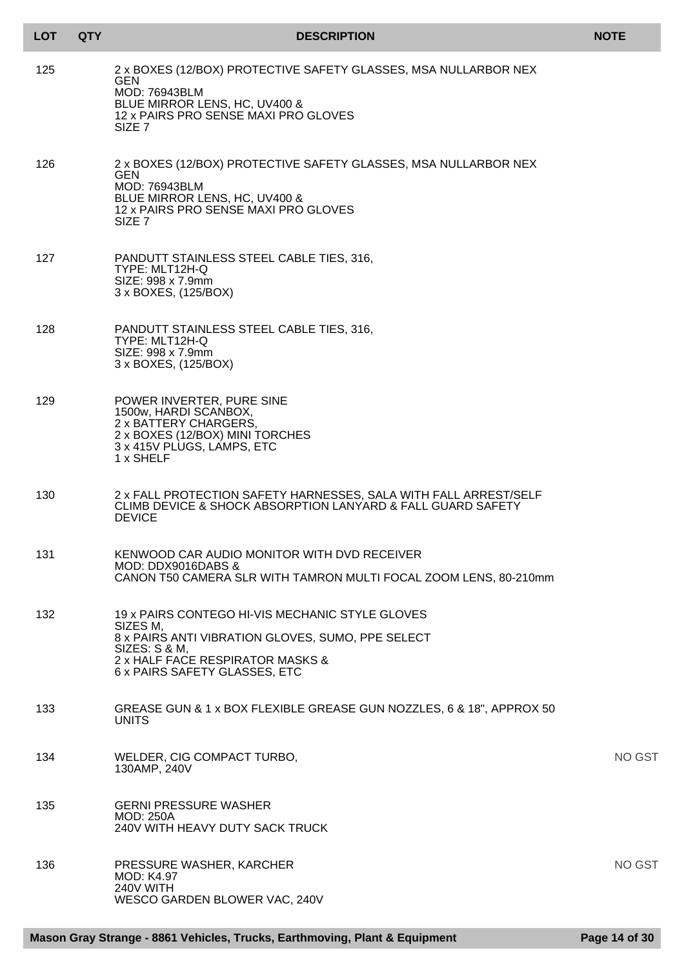| <b>LOT</b> | <b>QTY</b> | <b>DESCRIPTION</b>                                                                                                                                                                                     | <b>NOTE</b> |
|------------|------------|--------------------------------------------------------------------------------------------------------------------------------------------------------------------------------------------------------|-------------|
| 125        |            | 2 x BOXES (12/BOX) PROTECTIVE SAFETY GLASSES, MSA NULLARBOR NEX<br><b>GEN</b><br>MOD: 76943BLM<br>BLUE MIRROR LENS, HC, UV400 &<br>12 x PAIRS PRO SENSE MAXI PRO GLOVES<br>SIZE <sub>7</sub>           |             |
| 126        |            | 2 x BOXES (12/BOX) PROTECTIVE SAFETY GLASSES, MSA NULLARBOR NEX<br><b>GEN</b><br><b>MOD: 76943BLM</b><br>BLUE MIRROR LENS, HC, UV400 &<br>12 x PAIRS PRO SENSE MAXI PRO GLOVES<br>SIZE 7               |             |
| 127        |            | PANDUTT STAINLESS STEEL CABLE TIES, 316,<br>TYPE: MLT12H-Q<br>SIZE: 998 x 7.9mm<br>3 x BOXES, (125/BOX)                                                                                                |             |
| 128        |            | PANDUTT STAINLESS STEEL CABLE TIES, 316,<br>TYPE: MLT12H-Q<br>SIZE: 998 x 7.9mm<br>3 x BOXES, (125/BOX)                                                                                                |             |
| 129        |            | POWER INVERTER, PURE SINE<br>1500w, HARDI SCANBOX,<br>2 x BATTERY CHARGERS,<br>2 x BOXES (12/BOX) MINI TORCHES<br>3 x 415V PLUGS, LAMPS, ETC<br>1 x SHELF                                              |             |
| 130        |            | 2 x FALL PROTECTION SAFETY HARNESSES, SALA WITH FALL ARREST/SELF<br>CLIMB DEVICE & SHOCK ABSORPTION LANYARD & FALL GUARD SAFETY<br><b>DEVICE</b>                                                       |             |
| 131        |            | KENWOOD CAR AUDIO MONITOR WITH DVD RECEIVER<br>MOD: DDX9016DABS &<br>CANON T50 CAMERA SLR WITH TAMRON MULTI FOCAL ZOOM LENS, 80-210mm                                                                  |             |
| 132        |            | 19 x PAIRS CONTEGO HI-VIS MECHANIC STYLE GLOVES<br>SIZES M.<br>8 x PAIRS ANTI VIBRATION GLOVES, SUMO, PPE SELECT<br>SIZES: S & M,<br>2 x HALF FACE RESPIRATOR MASKS &<br>6 x PAIRS SAFETY GLASSES, ETC |             |
| 133        |            | GREASE GUN & 1 x BOX FLEXIBLE GREASE GUN NOZZLES, 6 & 18", APPROX 50<br><b>UNITS</b>                                                                                                                   |             |
| 134        |            | WELDER, CIG COMPACT TURBO,<br>130AMP, 240V                                                                                                                                                             | NO GST      |
| 135        |            | <b>GERNI PRESSURE WASHER</b><br><b>MOD: 250A</b><br>240V WITH HEAVY DUTY SACK TRUCK                                                                                                                    |             |
| 136        |            | PRESSURE WASHER, KARCHER<br><b>MOD: K4.97</b><br>240V WITH<br>WESCO GARDEN BLOWER VAC, 240V                                                                                                            | NO GST      |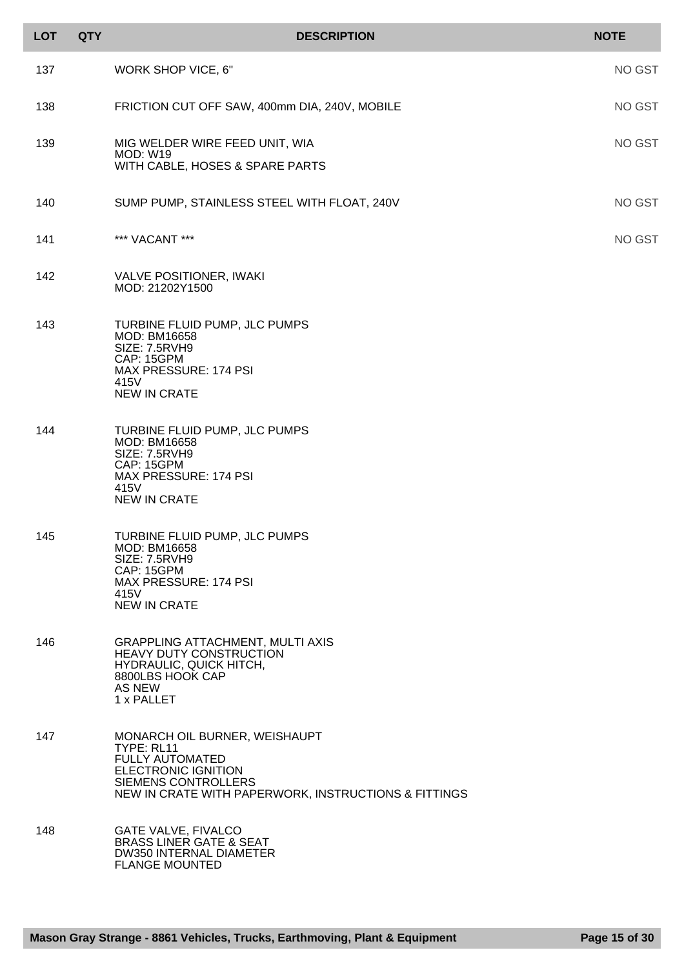| <b>LOT</b> | <b>QTY</b> | <b>DESCRIPTION</b>                                                                                                                                                                 | <b>NOTE</b>   |
|------------|------------|------------------------------------------------------------------------------------------------------------------------------------------------------------------------------------|---------------|
| 137        |            | WORK SHOP VICE, 6"                                                                                                                                                                 | <b>NO GST</b> |
| 138        |            | FRICTION CUT OFF SAW, 400mm DIA, 240V, MOBILE                                                                                                                                      | <b>NO GST</b> |
| 139        |            | MIG WELDER WIRE FEED UNIT, WIA<br><b>MOD: W19</b><br>WITH CABLE, HOSES & SPARE PARTS                                                                                               | <b>NO GST</b> |
| 140        |            | SUMP PUMP, STAINLESS STEEL WITH FLOAT, 240V                                                                                                                                        | <b>NO GST</b> |
| 141        |            | *** VACANT ***                                                                                                                                                                     | <b>NO GST</b> |
| 142        |            | <b>VALVE POSITIONER, IWAKI</b><br>MOD: 21202Y1500                                                                                                                                  |               |
| 143        |            | TURBINE FLUID PUMP, JLC PUMPS<br>MOD: BM16658<br><b>SIZE: 7.5RVH9</b><br>CAP: 15GPM<br>MAX PRESSURE: 174 PSI<br>415V<br><b>NEW IN CRATE</b>                                        |               |
| 144        |            | TURBINE FLUID PUMP, JLC PUMPS<br>MOD: BM16658<br>SIZE: 7.5RVH9<br>CAP: 15GPM<br><b>MAX PRESSURE: 174 PSI</b><br>415V<br><b>NEW IN CRATE</b>                                        |               |
| 145        |            | TURBINE FLUID PUMP, JLC PUMPS<br>MOD: BM16658<br>SIZE: 7.5RVH9<br>CAP: 15GPM<br>MAX PRESSURE: 174 PSI<br>415V<br><b>NEW IN CRATE</b>                                               |               |
| 146        |            | <b>GRAPPLING ATTACHMENT, MULTI AXIS</b><br><b>HEAVY DUTY CONSTRUCTION</b><br>HYDRAULIC, QUICK HITCH,<br>8800LBS HOOK CAP<br><b>AS NEW</b><br>1 x PALLET                            |               |
| 147        |            | MONARCH OIL BURNER, WEISHAUPT<br>TYPE: RL11<br><b>FULLY AUTOMATED</b><br><b>ELECTRONIC IGNITION</b><br>SIEMENS CONTROLLERS<br>NEW IN CRATE WITH PAPERWORK, INSTRUCTIONS & FITTINGS |               |
| 148        |            | <b>GATE VALVE, FIVALCO</b><br><b>BRASS LINER GATE &amp; SEAT</b><br><b>DW350 INTERNAL DIAMETER</b><br><b>FLANGE MOUNTED</b>                                                        |               |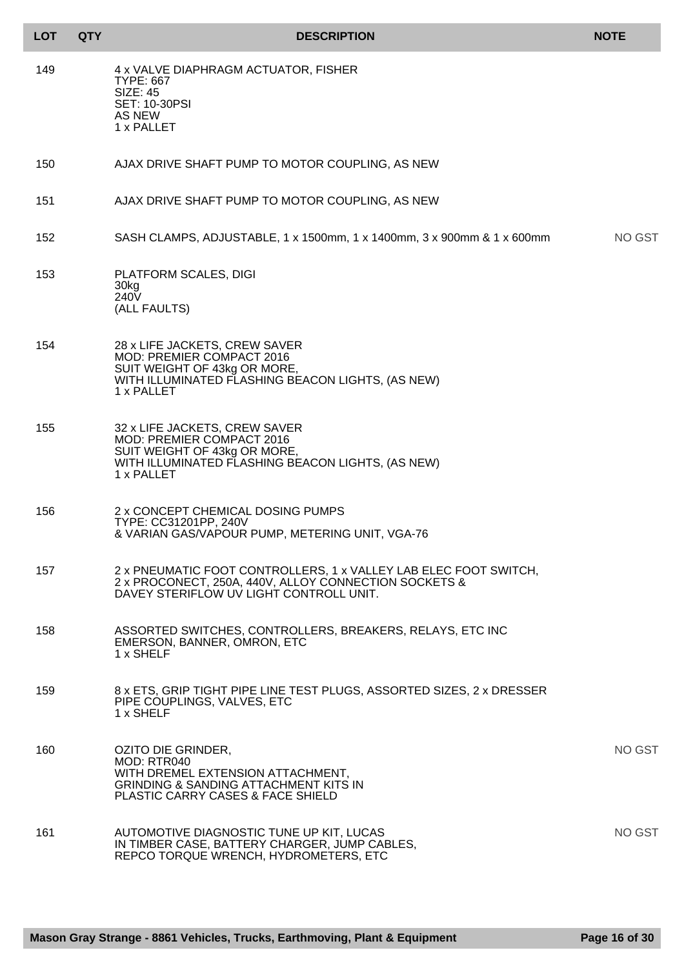| <b>LOT</b> | <b>QTY</b> | <b>DESCRIPTION</b>                                                                                                                                                   | <b>NOTE</b> |
|------------|------------|----------------------------------------------------------------------------------------------------------------------------------------------------------------------|-------------|
| 149        |            | 4 x VALVE DIAPHRAGM ACTUATOR, FISHER<br><b>TYPE: 667</b><br><b>SIZE: 45</b><br><b>SET: 10-30PSI</b><br>AS NEW<br>1 x PALLET                                          |             |
| 150        |            | AJAX DRIVE SHAFT PUMP TO MOTOR COUPLING, AS NEW                                                                                                                      |             |
| 151        |            | AJAX DRIVE SHAFT PUMP TO MOTOR COUPLING, AS NEW                                                                                                                      |             |
| 152        |            | SASH CLAMPS, ADJUSTABLE, 1 x 1500mm, 1 x 1400mm, 3 x 900mm & 1 x 600mm                                                                                               | NO GST      |
| 153        |            | PLATFORM SCALES, DIGI<br>30kg<br>240 <sub>V</sub><br>(ALL FAULTS)                                                                                                    |             |
| 154        |            | 28 x LIFE JACKETS, CREW SAVER<br>MOD: PREMIER COMPACT 2016<br>SUIT WEIGHT OF 43kg OR MORE,<br>WITH ILLUMINATED FLASHING BEACON LIGHTS, (AS NEW)<br>1 x PALLET        |             |
| 155        |            | 32 x LIFE JACKETS, CREW SAVER<br>MOD: PREMIER COMPACT 2016<br>SUIT WEIGHT OF 43kg OR MORE,<br>WITH ILLUMINATED FLASHING BEACON LIGHTS, (AS NEW)<br>1 x PALLET        |             |
| 156        |            | 2 x CONCEPT CHEMICAL DOSING PUMPS<br>TYPE: CC31201PP, 240V<br>& VARIAN GAS/VAPOUR PUMP, METERING UNIT, VGA-76                                                        |             |
| 157        |            | 2 x PNEUMATIC FOOT CONTROLLERS, 1 x VALLEY LAB ELEC FOOT SWITCH,<br>2 x PROCONECT, 250A, 440V, ALLOY CONNECTION SOCKETS &<br>DAVEY STERIFLOW UV LIGHT CONTROLL UNIT. |             |
| 158        |            | ASSORTED SWITCHES, CONTROLLERS, BREAKERS, RELAYS, ETC INC<br>EMERSON, BANNER, OMRON, ETC<br>1 x SHELF                                                                |             |
| 159        |            | 8 x ETS, GRIP TIGHT PIPE LINE TEST PLUGS, ASSORTED SIZES, 2 x DRESSER<br>PIPE COUPLINGS, VALVES, ETC<br>1 x SHELF                                                    |             |
| 160        |            | OZITO DIE GRINDER,<br>MOD: RTR040<br>WITH DREMEL EXTENSION ATTACHMENT,<br><b>GRINDING &amp; SANDING ATTACHMENT KITS IN</b><br>PLASTIC CARRY CASES & FACE SHIELD      | NO GST      |
| 161        |            | AUTOMOTIVE DIAGNOSTIC TUNE UP KIT, LUCAS<br>IN TIMBER CASE, BATTERY CHARGER, JUMP CABLES,<br>REPCO TORQUE WRENCH, HYDROMETERS, ETC                                   | NO GST      |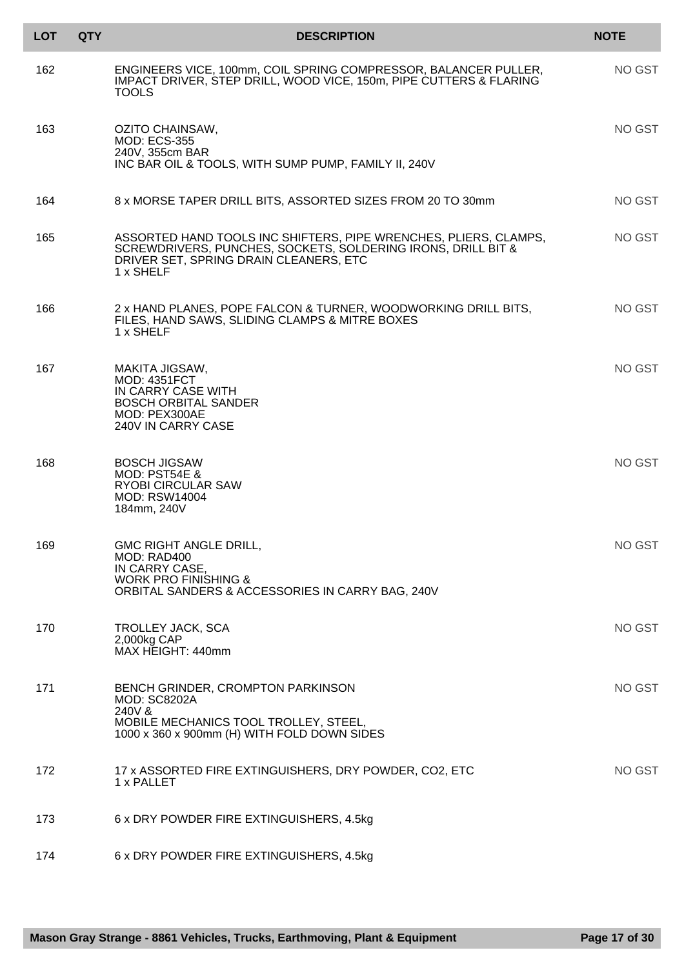| <b>LOT</b> | <b>QTY</b> | <b>DESCRIPTION</b>                                                                                                                                                                      | <b>NOTE</b> |
|------------|------------|-----------------------------------------------------------------------------------------------------------------------------------------------------------------------------------------|-------------|
| 162        |            | ENGINEERS VICE, 100mm, COIL SPRING COMPRESSOR, BALANCER PULLER,<br>IMPACT DRIVER, STEP DRILL, WOOD VICE, 150m, PIPE CUTTERS & FLARING<br><b>TOOLS</b>                                   | NO GST      |
| 163        |            | OZITO CHAINSAW,<br><b>MOD: ECS-355</b><br>240V, 355cm BAR<br>INC BAR OIL & TOOLS, WITH SUMP PUMP, FAMILY II, 240V                                                                       | NO GST      |
| 164        |            | 8 x MORSE TAPER DRILL BITS, ASSORTED SIZES FROM 20 TO 30mm                                                                                                                              | NO GST      |
| 165        |            | ASSORTED HAND TOOLS INC SHIFTERS, PIPE WRENCHES, PLIERS, CLAMPS,<br>SCREWDRIVERS, PUNCHES, SOCKETS, SOLDERING IRONS, DRILL BIT &<br>DRIVER SET, SPRING DRAIN CLEANERS, ETC<br>1 x SHELF | NO GST      |
| 166        |            | 2 x HAND PLANES, POPE FALCON & TURNER, WOODWORKING DRILL BITS,<br>FILES, HAND SAWS, SLIDING CLAMPS & MITRE BOXES<br>1 x SHELF                                                           | NO GST      |
| 167        |            | MAKITA JIGSAW,<br><b>MOD: 4351FCT</b><br>IN CARRY CASE WITH<br><b>BOSCH ORBITAL SANDER</b><br>MOD: PEX300AE<br>240V IN CARRY CASE                                                       | NO GST      |
| 168        |            | <b>BOSCH JIGSAW</b><br>MOD: PST54E &<br><b>RYOBI CIRCULAR SAW</b><br><b>MOD: RSW14004</b><br>184mm, 240V                                                                                | NO GST      |
| 169        |            | GMC RIGHT ANGLE DRILL,<br>MOD: RAD400<br>IN CARRY CASE,<br><b>WORK PRO FINISHING &amp;</b><br>ORBITAL SANDERS & ACCESSORIES IN CARRY BAG, 240V                                          | NO GST      |
| 170        |            | TROLLEY JACK, SCA<br>2,000kg CAP<br>MAX HEIGHT: 440mm                                                                                                                                   | NO GST      |
| 171        |            | BENCH GRINDER, CROMPTON PARKINSON<br><b>MOD: SC8202A</b><br>240V &<br>MOBILE MECHANICS TOOL TROLLEY, STEEL,<br>1000 x 360 x 900mm (H) WITH FOLD DOWN SIDES                              | NO GST      |
| 172        |            | 17 x ASSORTED FIRE EXTINGUISHERS, DRY POWDER, CO2, ETC<br>1 x PALLET                                                                                                                    | NO GST      |
| 173        |            | 6 x DRY POWDER FIRE EXTINGUISHERS, 4.5kg                                                                                                                                                |             |
| 174        |            | 6 x DRY POWDER FIRE EXTINGUISHERS, 4.5kg                                                                                                                                                |             |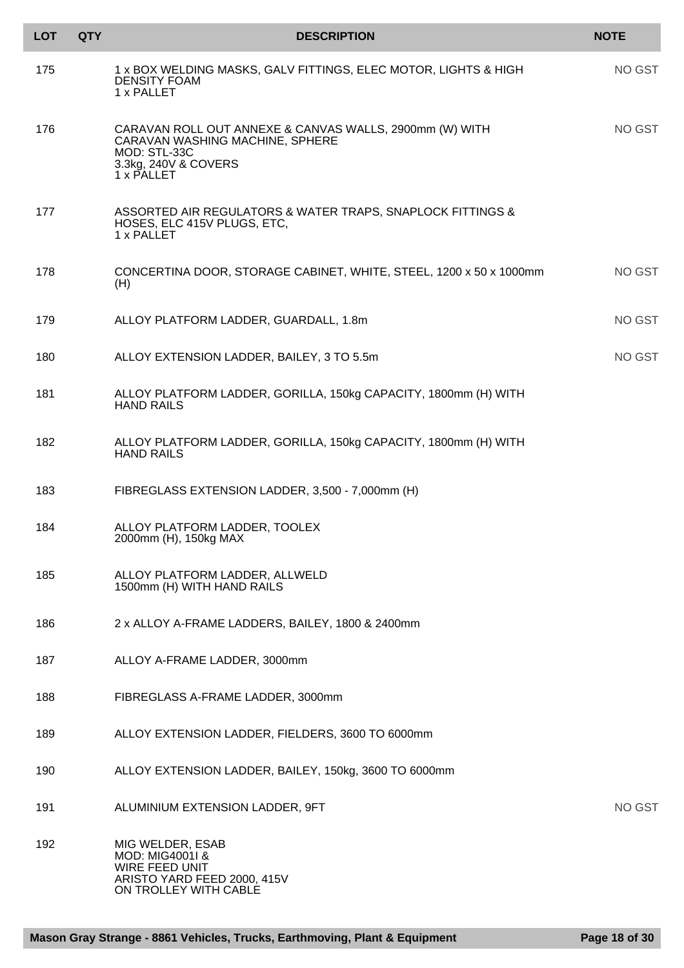| <b>LOT</b> | <b>QTY</b> | <b>DESCRIPTION</b>                                                                                                                               | <b>NOTE</b> |
|------------|------------|--------------------------------------------------------------------------------------------------------------------------------------------------|-------------|
| 175        |            | 1 x BOX WELDING MASKS, GALV FITTINGS, ELEC MOTOR, LIGHTS & HIGH<br><b>DENSITY FOAM</b><br>1 x PALLET                                             | NO GST      |
| 176        |            | CARAVAN ROLL OUT ANNEXE & CANVAS WALLS, 2900mm (W) WITH<br>CARAVAN WASHING MACHINE, SPHERE<br>MOD: STL-33C<br>3.3kg, 240V & COVERS<br>1 x PALLET | NO GST      |
| 177        |            | ASSORTED AIR REGULATORS & WATER TRAPS, SNAPLOCK FITTINGS &<br>HOSES, ELC 415V PLUGS, ETC,<br>1 x PALLET                                          |             |
| 178        |            | CONCERTINA DOOR, STORAGE CABINET, WHITE, STEEL, 1200 x 50 x 1000mm<br>(H)                                                                        | NO GST      |
| 179        |            | ALLOY PLATFORM LADDER, GUARDALL, 1.8m                                                                                                            | NO GST      |
| 180        |            | ALLOY EXTENSION LADDER, BAILEY, 3 TO 5.5m                                                                                                        | NO GST      |
| 181        |            | ALLOY PLATFORM LADDER, GORILLA, 150kg CAPACITY, 1800mm (H) WITH<br><b>HAND RAILS</b>                                                             |             |
| 182        |            | ALLOY PLATFORM LADDER, GORILLA, 150kg CAPACITY, 1800mm (H) WITH<br><b>HAND RAILS</b>                                                             |             |
| 183        |            | FIBREGLASS EXTENSION LADDER, 3,500 - 7,000mm (H)                                                                                                 |             |
| 184        |            | ALLOY PLATFORM LADDER, TOOLEX<br>2000mm (H), 150kg MAX                                                                                           |             |
| 185        |            | ALLOY PLATFORM LADDER, ALLWELD<br>1500mm (H) WITH HAND RAILS                                                                                     |             |
| 186        |            | 2 x ALLOY A-FRAME LADDERS, BAILEY, 1800 & 2400mm                                                                                                 |             |
| 187        |            | ALLOY A-FRAME LADDER, 3000mm                                                                                                                     |             |
| 188        |            | FIBREGLASS A-FRAME LADDER, 3000mm                                                                                                                |             |
| 189        |            | ALLOY EXTENSION LADDER, FIELDERS, 3600 TO 6000mm                                                                                                 |             |
| 190        |            | ALLOY EXTENSION LADDER, BAILEY, 150kg, 3600 TO 6000mm                                                                                            |             |
| 191        |            | ALUMINIUM EXTENSION LADDER, 9FT                                                                                                                  | NO GST      |
| 192        |            | MIG WELDER, ESAB<br>MOD: MIG4001I &<br><b>WIRE FEED UNIT</b><br>ARISTO YARD FEED 2000, 415V<br>ON TROLLEY WITH CABLE                             |             |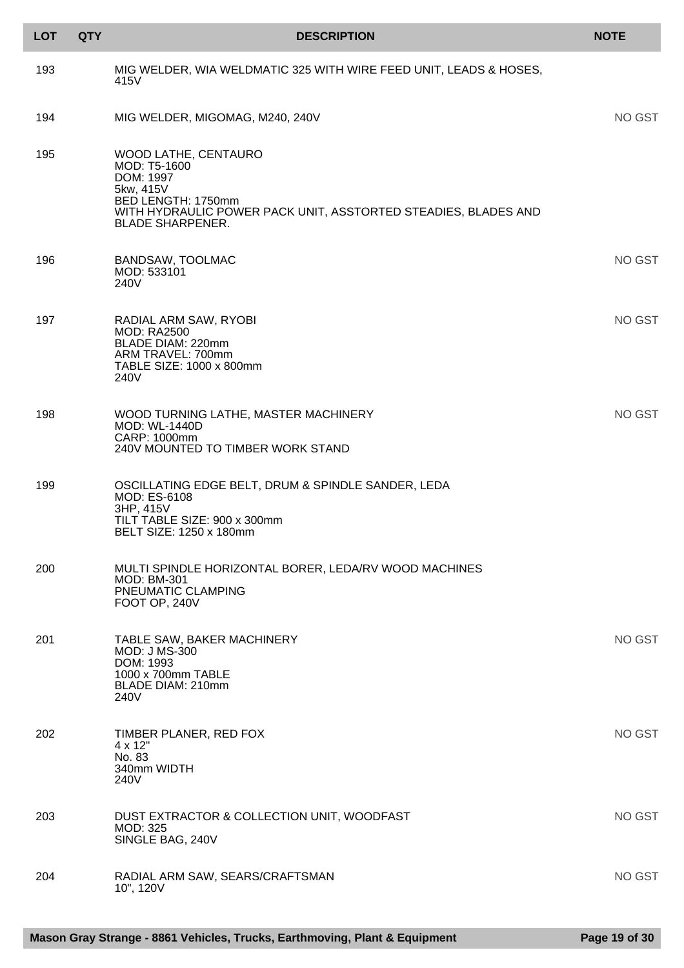| <b>LOT</b> | <b>QTY</b> | <b>DESCRIPTION</b>                                                                                                                                                                | <b>NOTE</b> |
|------------|------------|-----------------------------------------------------------------------------------------------------------------------------------------------------------------------------------|-------------|
| 193        |            | MIG WELDER, WIA WELDMATIC 325 WITH WIRE FEED UNIT, LEADS & HOSES,<br>415V                                                                                                         |             |
| 194        |            | MIG WELDER, MIGOMAG, M240, 240V                                                                                                                                                   | NO GST      |
| 195        |            | WOOD LATHE, CENTAURO<br>MOD: T5-1600<br>DOM: 1997<br>5kw, 415V<br>BED LENGTH: 1750mm<br>WITH HYDRAULIC POWER PACK UNIT, ASSTORTED STEADIES, BLADES AND<br><b>BLADE SHARPENER.</b> |             |
| 196        |            | <b>BANDSAW, TOOLMAC</b><br>MOD: 533101<br>240V                                                                                                                                    | NO GST      |
| 197        |            | RADIAL ARM SAW, RYOBI<br><b>MOD: RA2500</b><br>BLADE DIAM: 220mm<br>ARM TRAVEL: 700mm<br>TABLE SIZE: 1000 x 800mm<br>240V                                                         | NO GST      |
| 198        |            | WOOD TURNING LATHE, MASTER MACHINERY<br><b>MOD: WL-1440D</b><br>CARP: 1000mm<br>240V MOUNTED TO TIMBER WORK STAND                                                                 | NO GST      |
| 199        |            | OSCILLATING EDGE BELT, DRUM & SPINDLE SANDER, LEDA<br><b>MOD: ES-6108</b><br>3HP, 415V<br>TILT TABLE SIZE: 900 x 300mm<br>BELT SIZE: 1250 x 180mm                                 |             |
| 200        |            | MULTI SPINDLE HORIZONTAL BORER, LEDA/RV WOOD MACHINES<br><b>MOD: BM-301</b><br>PNEUMATIC CLAMPING<br>FOOT OP, 240V                                                                |             |
| 201        |            | TABLE SAW, BAKER MACHINERY<br><b>MOD: J MS-300</b><br>DOM: 1993<br>1000 x 700mm TABLE<br><b>BLADE DIAM: 210mm</b><br>240V                                                         | NO GST      |
| 202        |            | TIMBER PLANER, RED FOX<br>$4 \times 12"$<br>No. 83<br>340mm WIDTH<br>240V                                                                                                         | NO GST      |
| 203        |            | DUST EXTRACTOR & COLLECTION UNIT, WOODFAST<br>MOD: 325<br>SINGLE BAG, 240V                                                                                                        | NO GST      |
| 204        |            | RADIAL ARM SAW, SEARS/CRAFTSMAN<br>10", 120V                                                                                                                                      | NO GST      |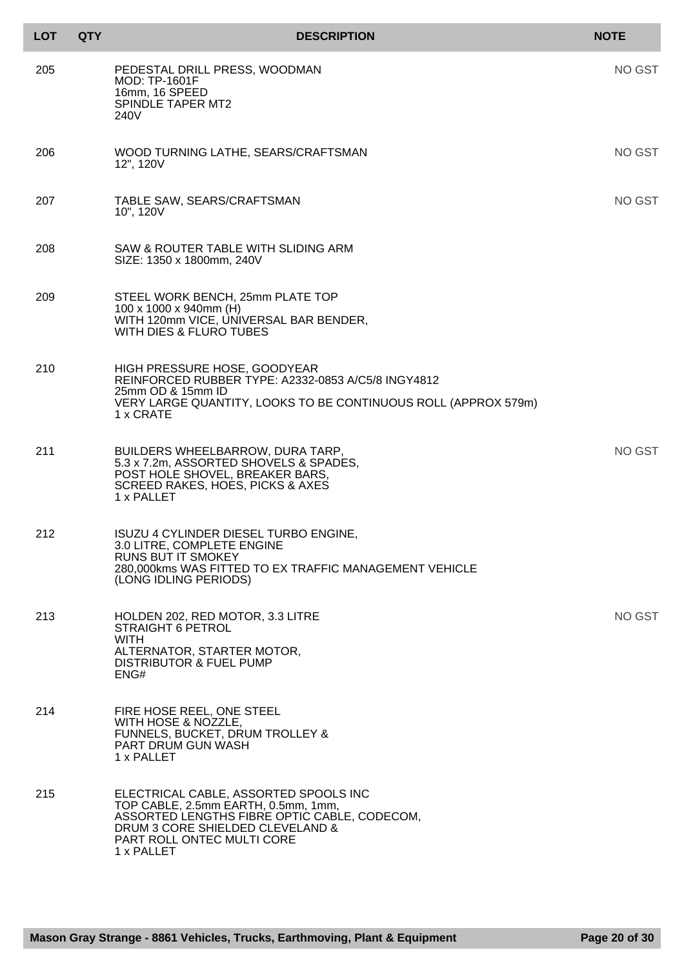| <b>LOT</b> | <b>QTY</b> | <b>DESCRIPTION</b>                                                                                                                                                                                           | <b>NOTE</b> |
|------------|------------|--------------------------------------------------------------------------------------------------------------------------------------------------------------------------------------------------------------|-------------|
| 205        |            | PEDESTAL DRILL PRESS, WOODMAN<br><b>MOD: TP-1601F</b><br>16mm, 16 SPEED<br>SPINDLE TAPER MT2<br>240V                                                                                                         | NO GST      |
| 206        |            | WOOD TURNING LATHE, SEARS/CRAFTSMAN<br>12", 120V                                                                                                                                                             | NO GST      |
| 207        |            | TABLE SAW, SEARS/CRAFTSMAN<br>10", 120V                                                                                                                                                                      | NO GST      |
| 208        |            | SAW & ROUTER TABLE WITH SLIDING ARM<br>SIZE: 1350 x 1800mm, 240V                                                                                                                                             |             |
| 209        |            | STEEL WORK BENCH, 25mm PLATE TOP<br>100 x 1000 x 940mm (H)<br>WITH 120mm VICE, UNIVERSAL BAR BENDER,<br><b>WITH DIES &amp; FLURO TUBES</b>                                                                   |             |
| 210        |            | HIGH PRESSURE HOSE, GOODYEAR<br>REINFORCED RUBBER TYPE: A2332-0853 A/C5/8 INGY4812<br>25mm OD & 15mm ID<br>VERY LARGE QUANTITY, LOOKS TO BE CONTINUOUS ROLL (APPROX 579m)<br>1 x CRATE                       |             |
| 211        |            | BUILDERS WHEELBARROW, DURA TARP,<br>5.3 x 7.2m, ASSORTED SHOVELS & SPADES,<br>POST HOLE SHOVEL, BREAKER BARS,<br>SCREED RAKES, HOES, PICKS & AXES<br>1 x PALLET                                              | NO GST      |
| 212        |            | ISUZU 4 CYLINDER DIESEL TURBO ENGINE,<br>3.0 LITRE, COMPLETE ENGINE<br><b>RUNS BUT IT SMOKEY</b><br>280,000kms WAS FITTED TO EX TRAFFIC MANAGEMENT VEHICLE<br>(LONG IDLING PERIODS)                          |             |
| 213        |            | HOLDEN 202, RED MOTOR, 3.3 LITRE<br><b>STRAIGHT 6 PETROL</b><br><b>WITH</b><br>ALTERNATOR, STARTER MOTOR,<br>DISTRIBUTOR & FUEL PUMP<br>ENG#                                                                 | NO GST      |
| 214        |            | FIRE HOSE REEL, ONE STEEL<br>WITH HOSE & NOZZLE,<br>FUNNELS, BUCKET, DRUM TROLLEY &<br>PART DRUM GUN WASH<br>1 x PALLET                                                                                      |             |
| 215        |            | ELECTRICAL CABLE, ASSORTED SPOOLS INC<br>TOP CABLE, 2.5mm EARTH, 0.5mm, 1mm,<br>ASSORTED LENGTHS FIBRE OPTIC CABLE, CODECOM,<br>DRUM 3 CORE SHIELDED CLEVELAND &<br>PART ROLL ONTEC MULTI CORE<br>1 x PALLET |             |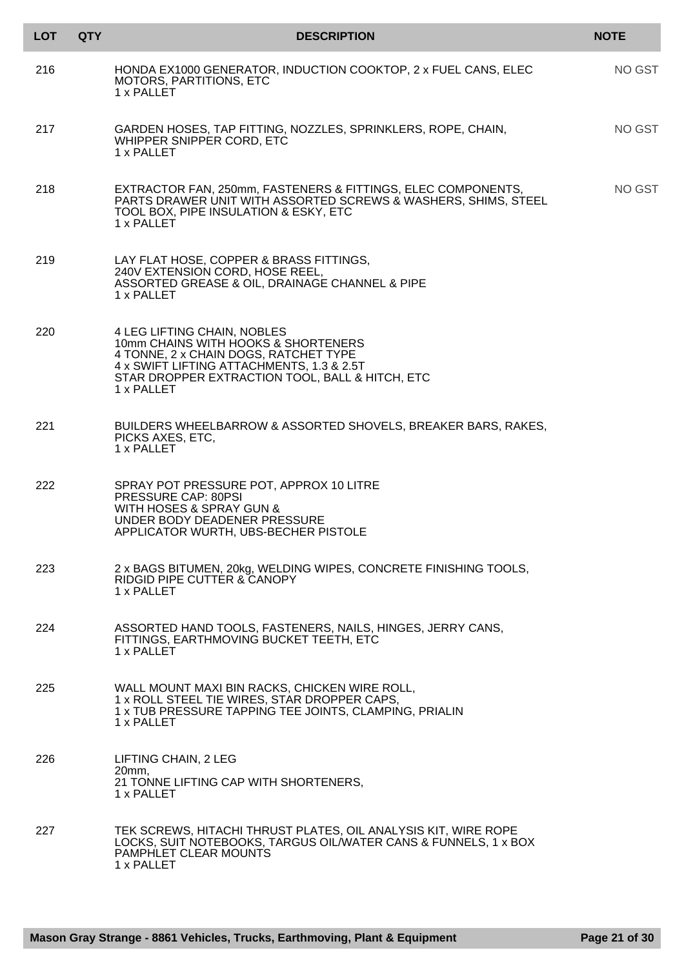| <b>LOT</b> | <b>QTY</b> | <b>DESCRIPTION</b>                                                                                                                                                                                                        | <b>NOTE</b> |
|------------|------------|---------------------------------------------------------------------------------------------------------------------------------------------------------------------------------------------------------------------------|-------------|
| 216        |            | HONDA EX1000 GENERATOR, INDUCTION COOKTOP, 2 x FUEL CANS, ELEC<br>MOTORS, PARTITIONS, ETC<br>1 x PALLET                                                                                                                   | NO GST      |
| 217        |            | GARDEN HOSES, TAP FITTING, NOZZLES, SPRINKLERS, ROPE, CHAIN,<br>WHIPPER SNIPPER CORD, ETC<br>1 x PALLET                                                                                                                   | NO GST      |
| 218        |            | EXTRACTOR FAN, 250mm, FASTENERS & FITTINGS, ELEC COMPONENTS,<br>PARTS DRAWER UNIT WITH ASSORTED SCREWS & WASHERS, SHIMS, STEEL<br>TOOL BOX, PIPE INSULATION & ESKY, ETC<br>1 x PALLET                                     | NO GST      |
| 219        |            | LAY FLAT HOSE, COPPER & BRASS FITTINGS,<br>240V EXTENSION CORD, HOSE REEL,<br>ASSORTED GREASE & OIL, DRAINAGE CHANNEL & PIPE<br>1 x PALLET                                                                                |             |
| 220        |            | 4 LEG LIFTING CHAIN, NOBLES<br>10mm CHAINS WITH HOOKS & SHORTENERS<br>4 TONNE, 2 x CHAIN DOGS, RATCHET TYPE<br>4 x SWIFT LIFTING ATTACHMENTS, 1.3 & 2.5T<br>STAR DROPPER EXTRACTION TOOL, BALL & HITCH, ETC<br>1 x PALLET |             |
| 221        |            | BUILDERS WHEELBARROW & ASSORTED SHOVELS, BREAKER BARS, RAKES,<br>PICKS AXES, ETC,<br>1 x PALLET                                                                                                                           |             |
| 222        |            | SPRAY POT PRESSURE POT, APPROX 10 LITRE<br>PRESSURE CAP: 80PSI<br>WITH HOSES & SPRAY GUN &<br>UNDER BODY DEADENER PRESSURE<br>APPLICATOR WURTH, UBS-BECHER PISTOLE                                                        |             |
| 223        |            | 2 x BAGS BITUMEN, 20kg, WELDING WIPES, CONCRETE FINISHING TOOLS,<br>RIDGID PIPE CUTTER & CANOPY<br>1 x PALLET                                                                                                             |             |
| 224        |            | ASSORTED HAND TOOLS, FASTENERS, NAILS, HINGES, JERRY CANS,<br>FITTINGS, EARTHMOVING BUCKET TEETH, ETC<br>1 x PALLET                                                                                                       |             |
| 225        |            | WALL MOUNT MAXI BIN RACKS, CHICKEN WIRE ROLL,<br>1 x ROLL STEEL TIE WIRES, STAR DROPPER CAPS,<br>1 x TUB PRESSURE TAPPING TEE JOINTS, CLAMPING, PRIALIN<br>1 x PALLET                                                     |             |
| 226        |            | LIFTING CHAIN, 2 LEG<br>$20mm$ ,<br>21 TONNE LIFTING CAP WITH SHORTENERS,<br>1 x PALLET                                                                                                                                   |             |
| 227        |            | TEK SCREWS, HITACHI THRUST PLATES, OIL ANALYSIS KIT, WIRE ROPE<br>LOCKS, SUIT NOTEBOOKS, TARGUS OIL/WATER CANS & FUNNELS, 1 x BOX<br>PAMPHLET CLEAR MOUNTS<br>1 x PALLET                                                  |             |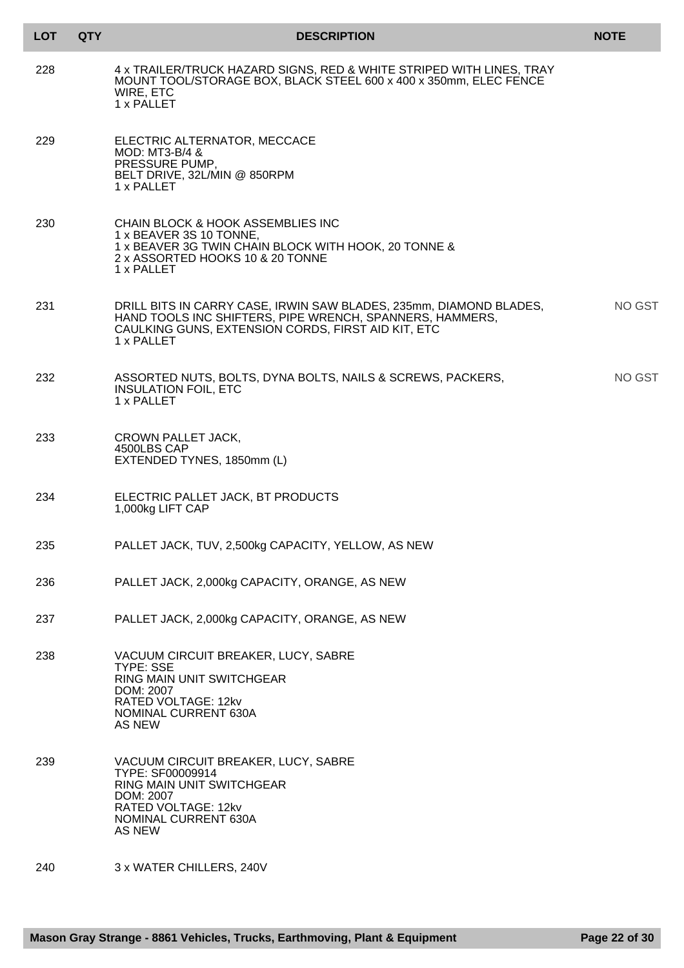| <b>LOT</b> | <b>QTY</b> | <b>DESCRIPTION</b>                                                                                                                                                                                 | <b>NOTE</b> |
|------------|------------|----------------------------------------------------------------------------------------------------------------------------------------------------------------------------------------------------|-------------|
| 228        |            | 4 x TRAILER/TRUCK HAZARD SIGNS, RED & WHITE STRIPED WITH LINES, TRAY<br>MOUNT TOOL/STORAGE BOX, BLACK STEEL 600 x 400 x 350mm, ELEC FENCE<br>WIRE, ETC<br>1 x PALLET                               |             |
| 229        |            | ELECTRIC ALTERNATOR, MECCACE<br>MOD: MT3-B/4 &<br>PRESSURE PUMP,<br>BELT DRIVE, 32L/MIN @ 850RPM<br>1 x PALLET                                                                                     |             |
| 230        |            | CHAIN BLOCK & HOOK ASSEMBLIES INC<br>1 x BEAVER 3S 10 TONNE,<br>1 x BEAVER 3G TWIN CHAIN BLOCK WITH HOOK, 20 TONNE &<br>2 x ASSORTED HOOKS 10 & 20 TONNE<br>1 x PALLET                             |             |
| 231        |            | DRILL BITS IN CARRY CASE, IRWIN SAW BLADES, 235mm, DIAMOND BLADES,<br>HAND TOOLS INC SHIFTERS, PIPE WRENCH, SPANNERS, HAMMERS,<br>CAULKING GUNS, EXTENSION CORDS, FIRST AID KIT, ETC<br>1 x PALLET | NO GST      |
| 232        |            | ASSORTED NUTS, BOLTS, DYNA BOLTS, NAILS & SCREWS, PACKERS,<br><b>INSULATION FOIL, ETC</b><br>1 x PALLET                                                                                            | NO GST      |
| 233        |            | <b>CROWN PALLET JACK,</b><br>4500LBS CAP<br>EXTENDED TYNES, 1850mm (L)                                                                                                                             |             |
| 234        |            | ELECTRIC PALLET JACK, BT PRODUCTS<br>1,000kg LIFT CAP                                                                                                                                              |             |
| 235        |            | PALLET JACK, TUV, 2,500kg CAPACITY, YELLOW, AS NEW                                                                                                                                                 |             |
| 236        |            | PALLET JACK, 2,000kg CAPACITY, ORANGE, AS NEW                                                                                                                                                      |             |
| 237        |            | PALLET JACK, 2,000kg CAPACITY, ORANGE, AS NEW                                                                                                                                                      |             |
| 238        |            | VACUUM CIRCUIT BREAKER, LUCY, SABRE<br><b>TYPE: SSE</b><br>RING MAIN UNIT SWITCHGEAR<br>DOM: 2007<br>RATED VOLTAGE: 12kv<br>NOMINAL CURRENT 630A<br>AS NEW                                         |             |
| 239        |            | VACUUM CIRCUIT BREAKER, LUCY, SABRE<br>TYPE: SF00009914<br>RING MAIN UNIT SWITCHGEAR<br>DOM: 2007<br>RATED VOLTAGE: 12kv<br>NOMINAL CURRENT 630A<br><b>AS NEW</b>                                  |             |
| 240        |            | 3 x WATER CHILLERS, 240V                                                                                                                                                                           |             |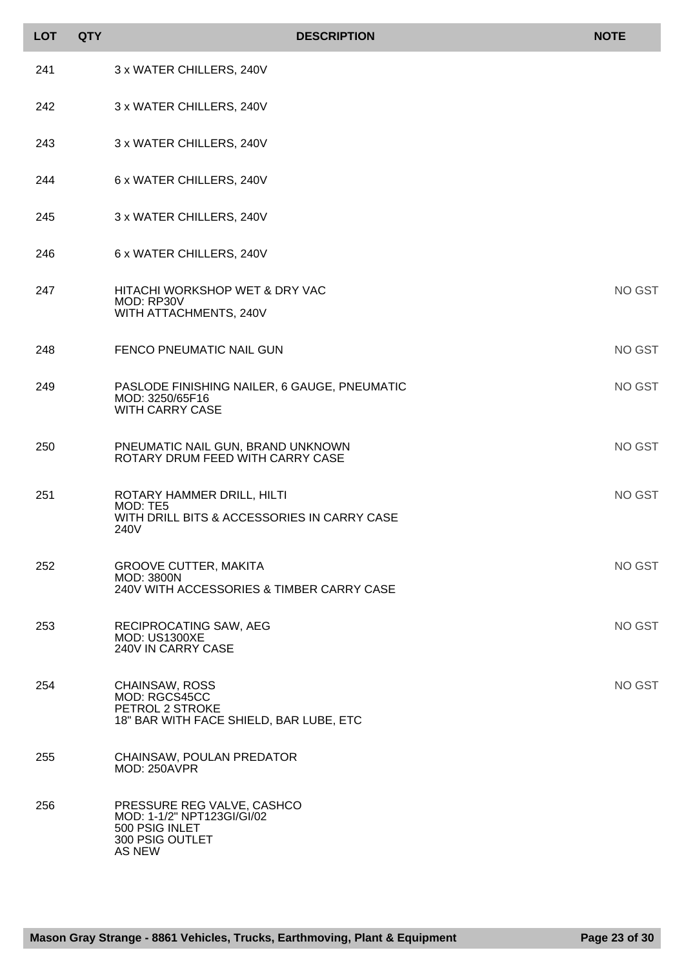| <b>LOT</b> | <b>QTY</b> | <b>DESCRIPTION</b>                                                                                             | <b>NOTE</b> |
|------------|------------|----------------------------------------------------------------------------------------------------------------|-------------|
| 241        |            | 3 x WATER CHILLERS, 240V                                                                                       |             |
| 242        |            | 3 x WATER CHILLERS, 240V                                                                                       |             |
| 243        |            | 3 x WATER CHILLERS, 240V                                                                                       |             |
| 244        |            | 6 x WATER CHILLERS, 240V                                                                                       |             |
| 245        |            | 3 x WATER CHILLERS, 240V                                                                                       |             |
| 246        |            | 6 x WATER CHILLERS, 240V                                                                                       |             |
| 247        |            | HITACHI WORKSHOP WET & DRY VAC<br>MOD: RP30V<br>WITH ATTACHMENTS, 240V                                         | NO GST      |
| 248        |            | FENCO PNEUMATIC NAIL GUN                                                                                       | NO GST      |
| 249        |            | PASLODE FINISHING NAILER, 6 GAUGE, PNEUMATIC<br>MOD: 3250/65F16<br><b>WITH CARRY CASE</b>                      | NO GST      |
| 250        |            | PNEUMATIC NAIL GUN, BRAND UNKNOWN<br>ROTARY DRUM FEED WITH CARRY CASE                                          | NO GST      |
| 251        |            | ROTARY HAMMER DRILL, HILTI<br>MOD: TE5<br>WITH DRILL BITS & ACCESSORIES IN CARRY CASE<br>240V                  | NO GST      |
| 252        |            | <b>GROOVE CUTTER, MAKITA</b><br><b>MOD: 3800N</b><br>240V WITH ACCESSORIES & TIMBER CARRY CASE                 | NO GST      |
| 253        |            | RECIPROCATING SAW, AEG<br><b>MOD: US1300XE</b><br>240V IN CARRY CASE                                           | NO GST      |
| 254        |            | CHAINSAW, ROSS<br>MOD: RGCS45CC<br>PETROL 2 STROKE<br>18" BAR WITH FACE SHIELD, BAR LUBE, ETC                  | NO GST      |
| 255        |            | CHAINSAW, POULAN PREDATOR<br>MOD: 250AVPR                                                                      |             |
| 256        |            | PRESSURE REG VALVE, CASHCO<br>MOD: 1-1/2" NPT123GI/GI/02<br>500 PSIG INLET<br>300 PSIG OUTLET<br><b>AS NEW</b> |             |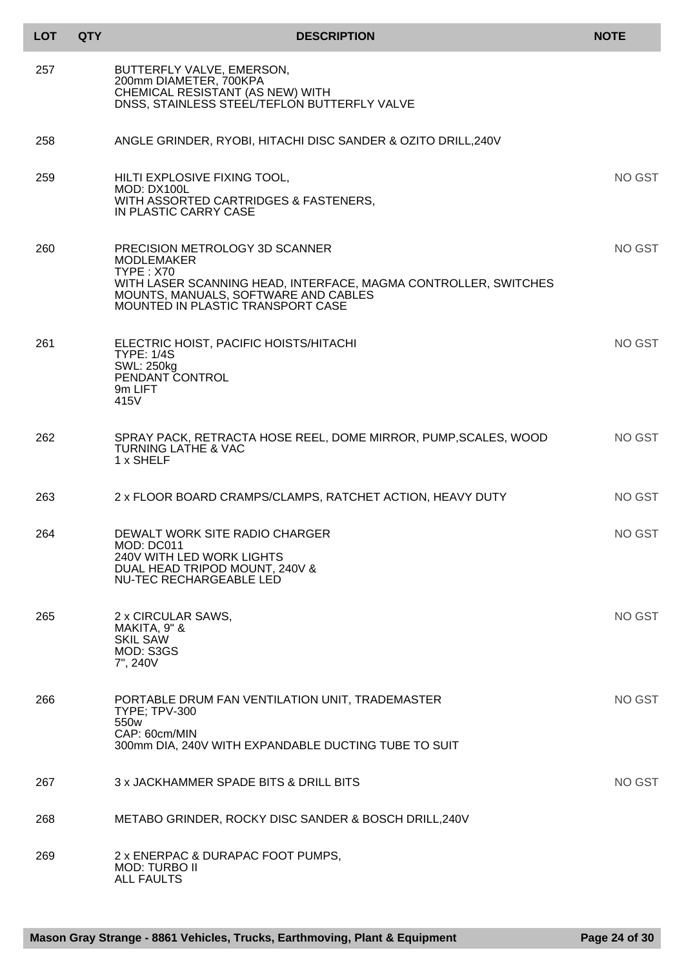| <b>LOT</b> | <b>QTY</b> | <b>DESCRIPTION</b>                                                                                                                                                                                                      | <b>NOTE</b> |
|------------|------------|-------------------------------------------------------------------------------------------------------------------------------------------------------------------------------------------------------------------------|-------------|
| 257        |            | BUTTERFLY VALVE, EMERSON,<br>200mm DIAMETER, 700KPA<br>CHEMICAL RESISTANT (AS NEW) WITH<br>DNSS, STAINLESS STEEL/TEFLON BUTTERFLY VALVE                                                                                 |             |
| 258        |            | ANGLE GRINDER, RYOBI, HITACHI DISC SANDER & OZITO DRILL, 240V                                                                                                                                                           |             |
| 259        |            | HILTI EXPLOSIVE FIXING TOOL,<br>MOD: DX100L<br>WITH ASSORTED CARTRIDGES & FASTENERS,<br>IN PLASTIC CARRY CASE                                                                                                           | NO GST      |
| 260        |            | PRECISION METROLOGY 3D SCANNER<br><b>MODLEMAKER</b><br><b>TYPE: X70</b><br>WITH LASER SCANNING HEAD, INTERFACE, MAGMA CONTROLLER, SWITCHES<br>MOUNTS, MANUALS, SOFTWARE AND CABLES<br>MOUNTED IN PLASTIC TRANSPORT CASE | NO GST      |
| 261        |            | ELECTRIC HOIST, PACIFIC HOISTS/HITACHI<br><b>TYPE: 1/4S</b><br><b>SWL: 250kg</b><br>PENDANT CONTROL<br>9m LIFT<br>415V                                                                                                  | NO GST      |
| 262        |            | SPRAY PACK, RETRACTA HOSE REEL, DOME MIRROR, PUMP, SCALES, WOOD<br><b>TURNING LATHE &amp; VAC</b><br>1 x SHELF                                                                                                          | NO GST      |
| 263        |            | 2 x FLOOR BOARD CRAMPS/CLAMPS, RATCHET ACTION, HEAVY DUTY                                                                                                                                                               | NO GST      |
| 264        |            | DEWALT WORK SITE RADIO CHARGER<br>MOD: DC011<br>240V WITH LED WORK LIGHTS<br>DUAL HEAD TRIPOD MOUNT, 240V &<br>NU-TEC RECHARGEABLE LED                                                                                  | NO GST      |
| 265        |            | 2 x CIRCULAR SAWS,<br>MAKITA, 9" &<br><b>SKIL SAW</b><br>MOD: S3GS<br>7", 240V                                                                                                                                          | NO GST      |
| 266        |            | PORTABLE DRUM FAN VENTILATION UNIT, TRADEMASTER<br><b>TYPE; TPV-300</b><br>550w<br>CAP: 60cm/MIN<br>300mm DIA, 240V WITH EXPANDABLE DUCTING TUBE TO SUIT                                                                | NO GST      |
| 267        |            | 3 x JACKHAMMER SPADE BITS & DRILL BITS                                                                                                                                                                                  | NO GST      |
| 268        |            | METABO GRINDER, ROCKY DISC SANDER & BOSCH DRILL, 240V                                                                                                                                                                   |             |
| 269        |            | 2 x ENERPAC & DURAPAC FOOT PUMPS,<br><b>MOD: TURBO II</b><br><b>ALL FAULTS</b>                                                                                                                                          |             |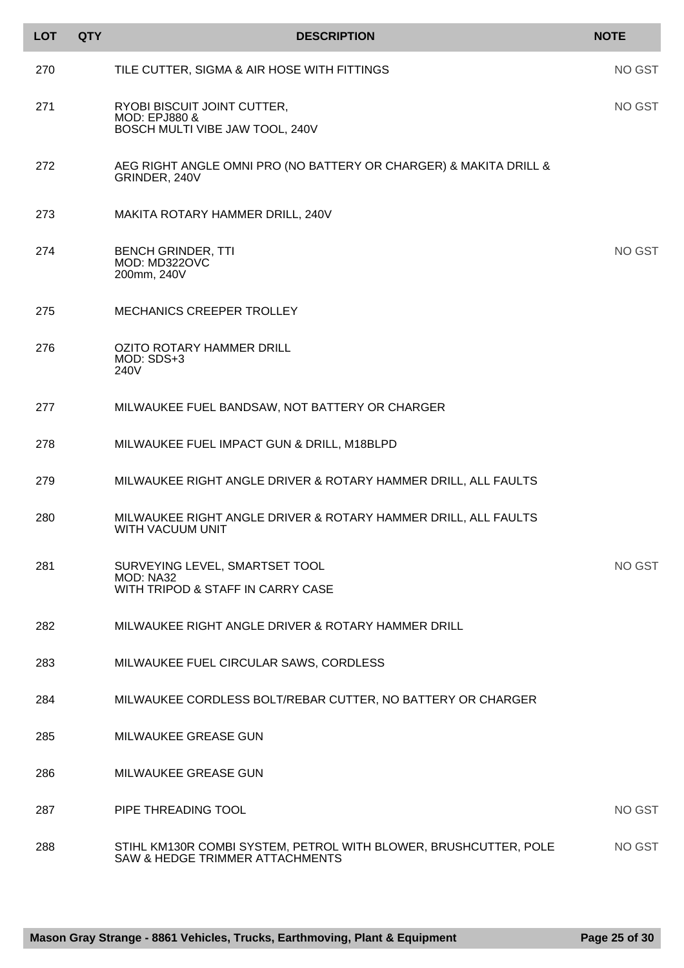| <b>LOT</b> | <b>QTY</b> | <b>DESCRIPTION</b>                                                                                  | <b>NOTE</b> |
|------------|------------|-----------------------------------------------------------------------------------------------------|-------------|
| 270        |            | TILE CUTTER, SIGMA & AIR HOSE WITH FITTINGS                                                         | NO GST      |
| 271        |            | RYOBI BISCUIT JOINT CUTTER,<br><b>MOD: EPJ880 &amp;</b><br>BOSCH MULTI VIBE JAW TOOL, 240V          | NO GST      |
| 272        |            | AEG RIGHT ANGLE OMNI PRO (NO BATTERY OR CHARGER) & MAKITA DRILL &<br>GRINDER, 240V                  |             |
| 273        |            | MAKITA ROTARY HAMMER DRILL, 240V                                                                    |             |
| 274        |            | <b>BENCH GRINDER, TTI</b><br>MOD: MD322OVC<br>200mm, 240V                                           | NO GST      |
| 275        |            | MECHANICS CREEPER TROLLEY                                                                           |             |
| 276        |            | OZITO ROTARY HAMMER DRILL<br>MOD: SDS+3<br>240V                                                     |             |
| 277        |            | MILWAUKEE FUEL BANDSAW, NOT BATTERY OR CHARGER                                                      |             |
| 278        |            | MILWAUKEE FUEL IMPACT GUN & DRILL, M18BLPD                                                          |             |
| 279        |            | MILWAUKEE RIGHT ANGLE DRIVER & ROTARY HAMMER DRILL, ALL FAULTS                                      |             |
| 280        |            | MILWAUKEE RIGHT ANGLE DRIVER & ROTARY HAMMER DRILL, ALL FAULTS<br>WITH VACUUM UNIT                  |             |
| 281        |            | SURVEYING LEVEL, SMARTSET TOOL<br>MOD: NA32<br>WITH TRIPOD & STAFF IN CARRY CASE                    | NO GST      |
| 282        |            | MILWAUKEE RIGHT ANGLE DRIVER & ROTARY HAMMER DRILL                                                  |             |
| 283        |            | MILWAUKEE FUEL CIRCULAR SAWS, CORDLESS                                                              |             |
| 284        |            | MILWAUKEE CORDLESS BOLT/REBAR CUTTER, NO BATTERY OR CHARGER                                         |             |
| 285        |            | MILWAUKEE GREASE GUN                                                                                |             |
| 286        |            | MILWAUKEE GREASE GUN                                                                                |             |
| 287        |            | PIPE THREADING TOOL                                                                                 | NO GST      |
| 288        |            | STIHL KM130R COMBI SYSTEM, PETROL WITH BLOWER, BRUSHCUTTER, POLE<br>SAW & HEDGE TRIMMER ATTACHMENTS | NO GST      |

l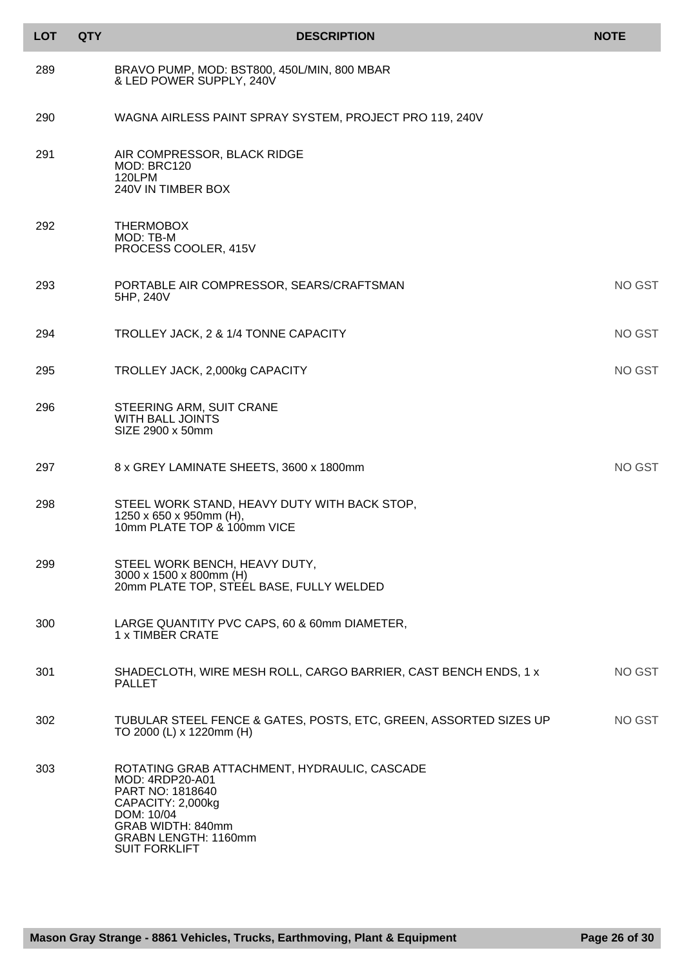| <b>LOT</b> | <b>QTY</b> | <b>DESCRIPTION</b>                                                                                                                                                                          | <b>NOTE</b>   |
|------------|------------|---------------------------------------------------------------------------------------------------------------------------------------------------------------------------------------------|---------------|
| 289        |            | BRAVO PUMP, MOD: BST800, 450L/MIN, 800 MBAR<br>& LED POWER SUPPLY, 240V                                                                                                                     |               |
| 290        |            | WAGNA AIRLESS PAINT SPRAY SYSTEM, PROJECT PRO 119, 240V                                                                                                                                     |               |
| 291        |            | AIR COMPRESSOR, BLACK RIDGE<br>MOD: BRC120<br>120LPM<br>240V IN TIMBER BOX                                                                                                                  |               |
| 292        |            | <b>THERMOBOX</b><br>MOD: TB-M<br>PROCESS COOLER, 415V                                                                                                                                       |               |
| 293        |            | PORTABLE AIR COMPRESSOR, SEARS/CRAFTSMAN<br>5HP, 240V                                                                                                                                       | NO GST        |
| 294        |            | TROLLEY JACK, 2 & 1/4 TONNE CAPACITY                                                                                                                                                        | NO GST        |
| 295        |            | TROLLEY JACK, 2,000kg CAPACITY                                                                                                                                                              | <b>NO GST</b> |
| 296        |            | STEERING ARM, SUIT CRANE<br><b>WITH BALL JOINTS</b><br>SIZE 2900 x 50mm                                                                                                                     |               |
| 297        |            | 8 x GREY LAMINATE SHEETS, 3600 x 1800mm                                                                                                                                                     | NO GST        |
| 298        |            | STEEL WORK STAND, HEAVY DUTY WITH BACK STOP,<br>1250 x 650 x 950mm (H),<br>10mm PLATE TOP & 100mm VICE                                                                                      |               |
| 299        |            | STEEL WORK BENCH, HEAVY DUTY,<br>3000 x 1500 x 800mm (H)<br>20mm PLATE TOP, STEEL BASE, FULLY WELDED                                                                                        |               |
| 300        |            | LARGE QUANTITY PVC CAPS, 60 & 60mm DIAMETER,<br>1 x TIMBER CRATE                                                                                                                            |               |
| 301        |            | SHADECLOTH, WIRE MESH ROLL, CARGO BARRIER, CAST BENCH ENDS, 1 x<br><b>PALLET</b>                                                                                                            | NO GST        |
| 302        |            | TUBULAR STEEL FENCE & GATES, POSTS, ETC, GREEN, ASSORTED SIZES UP<br>TO 2000 (L) x 1220mm (H)                                                                                               | NO GST        |
| 303        |            | ROTATING GRAB ATTACHMENT, HYDRAULIC, CASCADE<br>MOD: 4RDP20-A01<br>PART NO: 1818640<br>CAPACITY: 2,000kg<br>DOM: 10/04<br>GRAB WIDTH: 840mm<br>GRABN LENGTH: 1160mm<br><b>SUIT FORKLIFT</b> |               |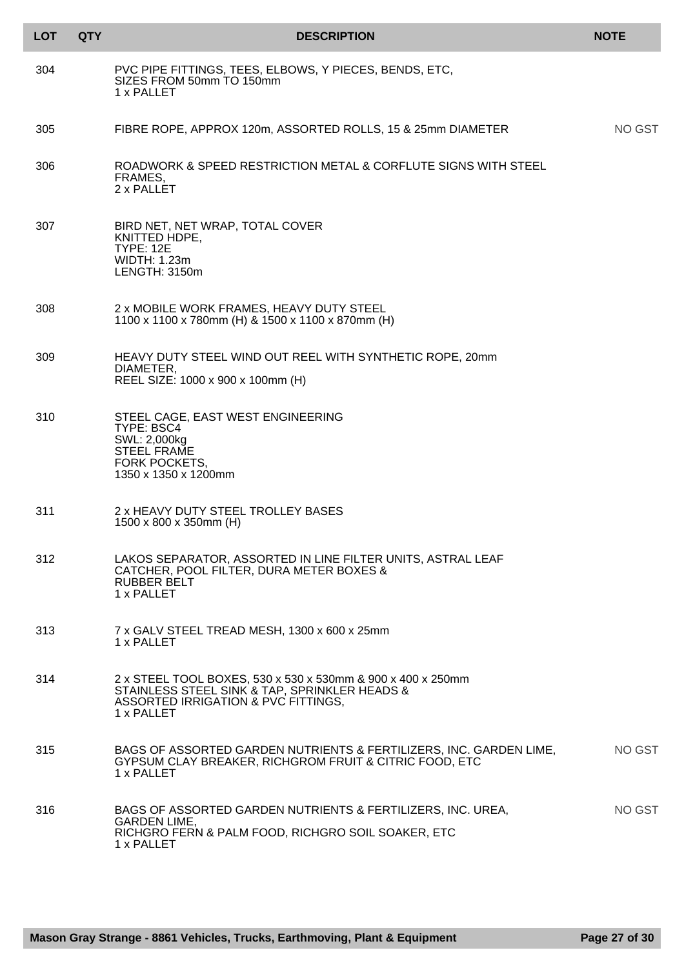| <b>LOT</b> | <b>QTY</b> | <b>DESCRIPTION</b>                                                                                                                                                | <b>NOTE</b> |
|------------|------------|-------------------------------------------------------------------------------------------------------------------------------------------------------------------|-------------|
| 304        |            | PVC PIPE FITTINGS, TEES, ELBOWS, Y PIECES, BENDS, ETC,<br>SIZES FROM 50mm TO 150mm<br>1 x PALLET                                                                  |             |
| 305        |            | FIBRE ROPE, APPROX 120m, ASSORTED ROLLS, 15 & 25mm DIAMETER                                                                                                       | NO GST      |
| 306        |            | ROADWORK & SPEED RESTRICTION METAL & CORFLUTE SIGNS WITH STEEL<br>FRAMES,<br>2 x PALLET                                                                           |             |
| 307        |            | BIRD NET, NET WRAP, TOTAL COVER<br>KNITTED HDPE,<br><b>TYPE: 12E</b><br><b>WIDTH: 1.23m</b><br>LENGTH: 3150m                                                      |             |
| 308        |            | 2 x MOBILE WORK FRAMES, HEAVY DUTY STEEL<br>1100 x 1100 x 780mm (H) & 1500 x 1100 x 870mm (H)                                                                     |             |
| 309        |            | HEAVY DUTY STEEL WIND OUT REEL WITH SYNTHETIC ROPE, 20mm<br>DIAMETER,<br>REEL SIZE: 1000 x 900 x 100mm (H)                                                        |             |
| 310        |            | STEEL CAGE, EAST WEST ENGINEERING<br>TYPE: BSC4<br>SWL: 2,000kg<br><b>STEEL FRAME</b><br><b>FORK POCKETS,</b><br>1350 x 1350 x 1200mm                             |             |
| 311        |            | 2 x HEAVY DUTY STEEL TROLLEY BASES<br>1500 x 800 x 350mm (H)                                                                                                      |             |
| 312        |            | LAKOS SEPARATOR, ASSORTED IN LINE FILTER UNITS, ASTRAL LEAF<br>CATCHER, POOL FILTER, DURA METER BOXES &<br>RUBBER BELT<br>1 x PALLET                              |             |
| 313        |            | 7 x GALV STEEL TREAD MESH, 1300 x 600 x 25mm<br>1 x PALLET                                                                                                        |             |
| 314        |            | 2 x STEEL TOOL BOXES, 530 x 530 x 530mm & 900 x 400 x 250mm<br>STAINLESS STEEL SINK & TAP, SPRINKLER HEADS &<br>ASSORTED IRRIGATION & PVC FITTINGS,<br>1 x PALLET |             |
| 315        |            | BAGS OF ASSORTED GARDEN NUTRIENTS & FERTILIZERS, INC. GARDEN LIME,<br>GYPSUM CLAY BREAKER, RICHGROM FRUIT & CITRIC FOOD, ETC<br>1 x PALLET                        | NO GST      |
| 316        |            | BAGS OF ASSORTED GARDEN NUTRIENTS & FERTILIZERS, INC. UREA,<br><b>GARDEN LIME,</b><br>RICHGRO FERN & PALM FOOD, RICHGRO SOIL SOAKER, ETC<br>1 x PALLET            | NO GST      |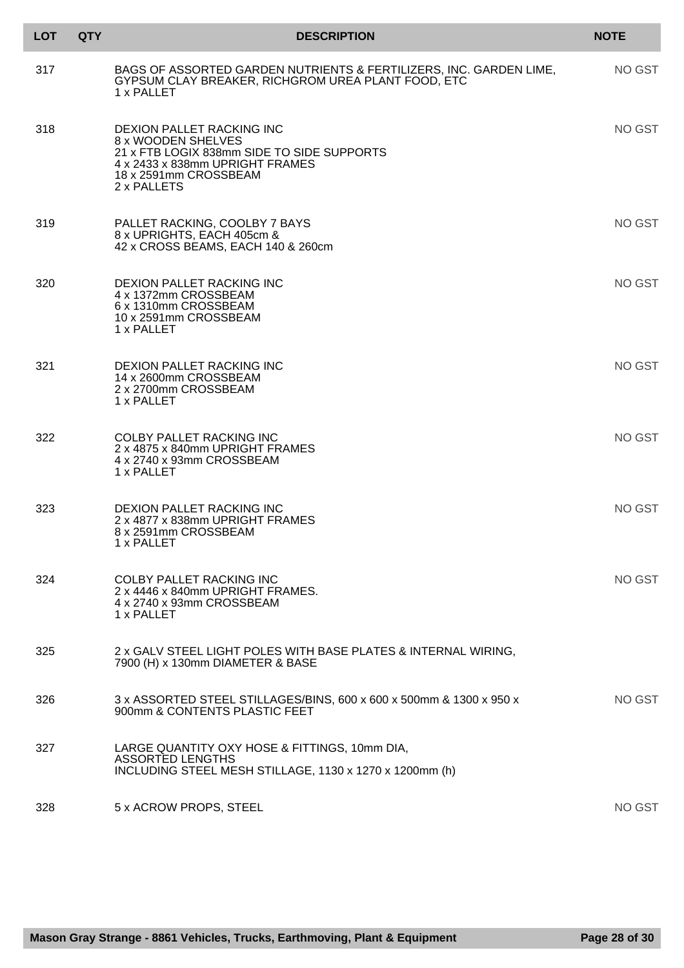| <b>LOT</b> | <b>QTY</b> | <b>DESCRIPTION</b>                                                                                                                                                       | <b>NOTE</b> |
|------------|------------|--------------------------------------------------------------------------------------------------------------------------------------------------------------------------|-------------|
| 317        |            | BAGS OF ASSORTED GARDEN NUTRIENTS & FERTILIZERS, INC. GARDEN LIME,<br>GYPSUM CLAY BREAKER, RICHGROM UREA PLANT FOOD, ETC<br>1 x PALLET                                   | NO GST      |
| 318        |            | DEXION PALLET RACKING INC<br>8 x WOODEN SHELVES<br>21 x FTB LOGIX 838mm SIDE TO SIDE SUPPORTS<br>4 x 2433 x 838mm UPRIGHT FRAMES<br>18 x 2591mm CROSSBEAM<br>2 x PALLETS | NO GST      |
| 319        |            | PALLET RACKING, COOLBY 7 BAYS<br>8 x UPRIGHTS, EACH 405cm &<br>42 x CROSS BEAMS, EACH 140 & 260cm                                                                        | NO GST      |
| 320        |            | DEXION PALLET RACKING INC<br>4 x 1372mm CROSSBEAM<br>6 x 1310mm CROSSBEAM<br>10 x 2591mm CROSSBEAM<br>1 x PALLET                                                         | NO GST      |
| 321        |            | DEXION PALLET RACKING INC<br>14 x 2600mm CROSSBEAM<br>2 x 2700mm CROSSBEAM<br>1 x PALLET                                                                                 | NO GST      |
| 322        |            | <b>COLBY PALLET RACKING INC</b><br>2 x 4875 x 840mm UPRIGHT FRAMES<br>4 x 2740 x 93mm CROSSBEAM<br>1 x PALLET                                                            | NO GST      |
| 323        |            | DEXION PALLET RACKING INC<br>2 x 4877 x 838mm UPRIGHT FRAMES<br>8 x 2591mm CROSSBEAM<br>1 x PALLET                                                                       | NO GST      |
| 324        |            | <b>COLBY PALLET RACKING INC</b><br>2 x 4446 x 840mm UPRIGHT FRAMES.<br>4 x 2740 x 93mm CROSSBEAM<br>1 x PALLET                                                           | NO GST      |
| 325        |            | 2 x GALV STEEL LIGHT POLES WITH BASE PLATES & INTERNAL WIRING,<br>7900 (H) x 130mm DIAMETER & BASE                                                                       |             |
| 326        |            | 3 x ASSORTED STEEL STILLAGES/BINS, 600 x 600 x 500mm & 1300 x 950 x<br>900mm & CONTENTS PLASTIC FEET                                                                     | NO GST      |
| 327        |            | LARGE QUANTITY OXY HOSE & FITTINGS, 10mm DIA,<br><b>ASSORTED LENGTHS</b><br>INCLUDING STEEL MESH STILLAGE, 1130 x 1270 x 1200mm (h)                                      |             |
| 328        |            | 5 x ACROW PROPS, STEEL                                                                                                                                                   | NO GST      |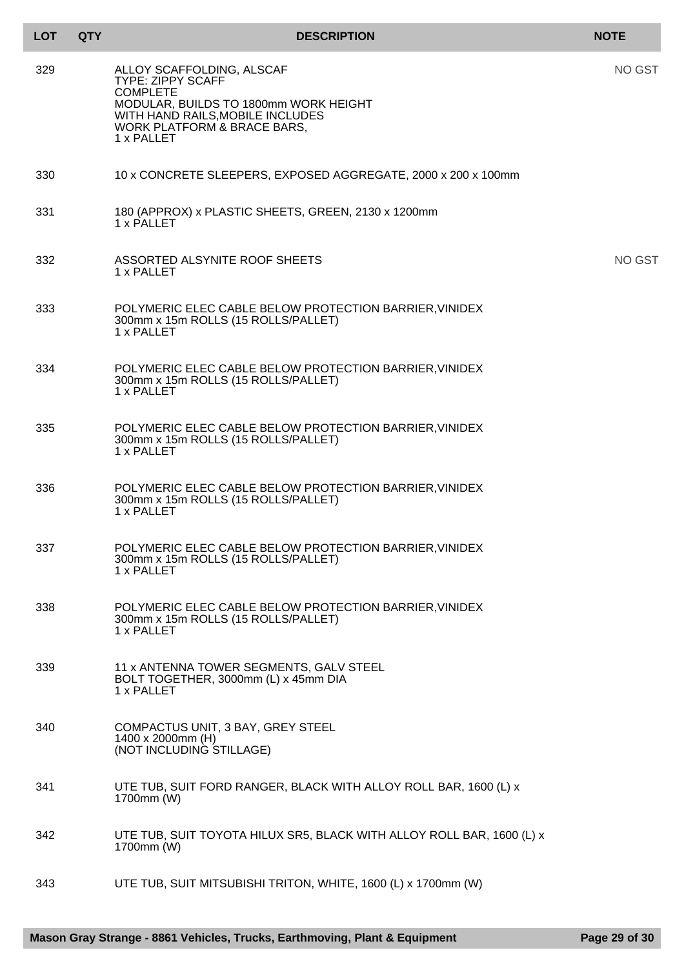| <b>LOT</b> | <b>QTY</b> | <b>DESCRIPTION</b>                                                                                                                                                                                 | <b>NOTE</b> |
|------------|------------|----------------------------------------------------------------------------------------------------------------------------------------------------------------------------------------------------|-------------|
| 329        |            | ALLOY SCAFFOLDING, ALSCAF<br><b>TYPE: ZIPPY SCAFF</b><br><b>COMPLETE</b><br>MODULAR, BUILDS TO 1800mm WORK HEIGHT<br>WITH HAND RAILS, MOBILE INCLUDES<br>WORK PLATFORM & BRACE BARS,<br>1 x PALLET | NO GST      |
| 330        |            | 10 x CONCRETE SLEEPERS, EXPOSED AGGREGATE, 2000 x 200 x 100mm                                                                                                                                      |             |
| 331        |            | 180 (APPROX) x PLASTIC SHEETS, GREEN, 2130 x 1200mm<br>1 x PALLET                                                                                                                                  |             |
| 332        |            | ASSORTED ALSYNITE ROOF SHEETS<br>1 x PALLET                                                                                                                                                        | NO GST      |
| 333        |            | POLYMERIC ELEC CABLE BELOW PROTECTION BARRIER, VINIDEX<br>300mm x 15m ROLLS (15 ROLLS/PALLET)<br>1 x PALLET                                                                                        |             |
| 334        |            | POLYMERIC ELEC CABLE BELOW PROTECTION BARRIER, VINIDEX<br>300mm x 15m ROLLS (15 ROLLS/PALLET)<br>1 x PALLET                                                                                        |             |
| 335        |            | POLYMERIC ELEC CABLE BELOW PROTECTION BARRIER, VINIDEX<br>300mm x 15m ROLLS (15 ROLLS/PALLET)<br>1 x PALLET                                                                                        |             |
| 336        |            | POLYMERIC ELEC CABLE BELOW PROTECTION BARRIER, VINIDEX<br>300mm x 15m ROLLS (15 ROLLS/PALLET)<br>1 x PALLET                                                                                        |             |
| 337        |            | POLYMERIC ELEC CABLE BELOW PROTECTION BARRIER, VINIDEX<br>300mm x 15m ROLLS (15 ROLLS/PALLET)<br>1 x PALLET                                                                                        |             |
| 338        |            | POLYMERIC ELEC CABLE BELOW PROTECTION BARRIER, VINIDEX<br>300mm x 15m ROLLS (15 ROLLS/PALLET)<br>1 x PALLET                                                                                        |             |
| 339        |            | 11 x ANTENNA TOWER SEGMENTS, GALV STEEL<br>BOLT TOGETHER, 3000mm (L) x 45mm DIA<br>1 x PALLET                                                                                                      |             |
| 340        |            | COMPACTUS UNIT, 3 BAY, GREY STEEL<br>1400 x 2000mm (H)<br>(NOT INCLUDING STILLAGE)                                                                                                                 |             |
| 341        |            | UTE TUB, SUIT FORD RANGER, BLACK WITH ALLOY ROLL BAR, 1600 (L) x<br>1700mm (W)                                                                                                                     |             |
| 342        |            | UTE TUB, SUIT TOYOTA HILUX SR5, BLACK WITH ALLOY ROLL BAR, 1600 (L) x<br>1700mm (W)                                                                                                                |             |
| 343        |            | UTE TUB, SUIT MITSUBISHI TRITON, WHITE, 1600 (L) x 1700mm (W)                                                                                                                                      |             |